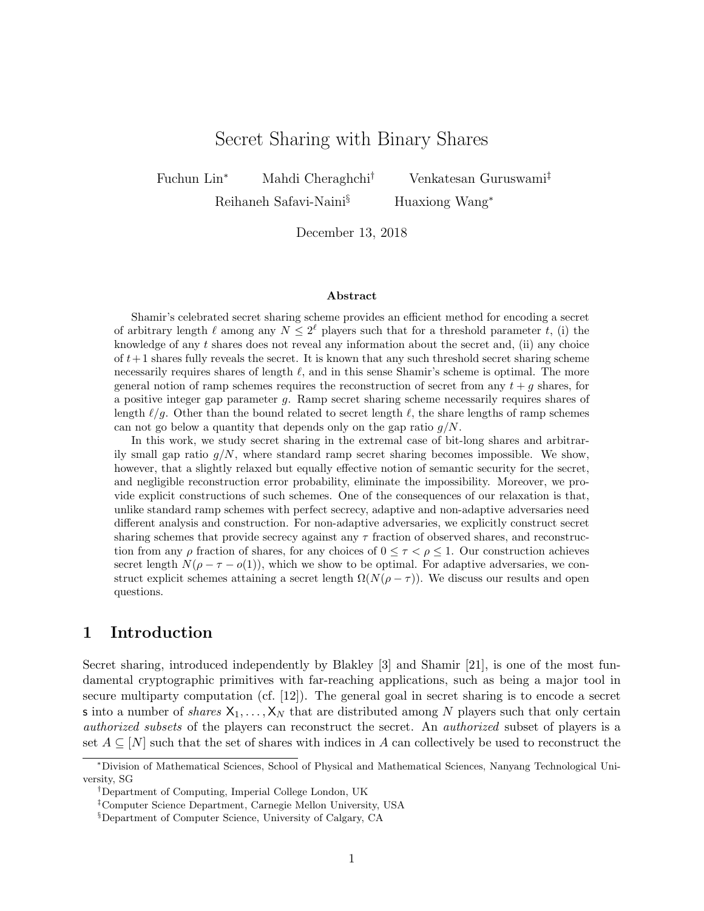# Secret Sharing with Binary Shares

Fuchun Lin<sup>∗</sup> Mahdi Cheraghchi† Venkatesan Guruswami‡

Reihaneh Safavi-Naini<sup>§</sup> Huaxiong Wang<sup>∗</sup>

December 13, 2018

#### Abstract

Shamir's celebrated secret sharing scheme provides an efficient method for encoding a secret of arbitrary length  $\ell$  among any  $N \leq 2^{\ell}$  players such that for a threshold parameter t, (i) the knowledge of any  $t$  shares does not reveal any information about the secret and, (ii) any choice of  $t+1$  shares fully reveals the secret. It is known that any such threshold secret sharing scheme necessarily requires shares of length  $\ell$ , and in this sense Shamir's scheme is optimal. The more general notion of ramp schemes requires the reconstruction of secret from any  $t + g$  shares, for a positive integer gap parameter g. Ramp secret sharing scheme necessarily requires shares of length  $\ell/g$ . Other than the bound related to secret length  $\ell$ , the share lengths of ramp schemes can not go below a quantity that depends only on the gap ratio  $g/N$ .

In this work, we study secret sharing in the extremal case of bit-long shares and arbitrarily small gap ratio  $g/N$ , where standard ramp secret sharing becomes impossible. We show, however, that a slightly relaxed but equally effective notion of semantic security for the secret, and negligible reconstruction error probability, eliminate the impossibility. Moreover, we provide explicit constructions of such schemes. One of the consequences of our relaxation is that, unlike standard ramp schemes with perfect secrecy, adaptive and non-adaptive adversaries need different analysis and construction. For non-adaptive adversaries, we explicitly construct secret sharing schemes that provide secrecy against any  $\tau$  fraction of observed shares, and reconstruction from any  $\rho$  fraction of shares, for any choices of  $0 \leq \tau < \rho \leq 1$ . Our construction achieves secret length  $N(\rho - \tau - o(1))$ , which we show to be optimal. For adaptive adversaries, we construct explicit schemes attaining a secret length  $\Omega(N(\rho - \tau))$ . We discuss our results and open questions.

## 1 Introduction

Secret sharing, introduced independently by Blakley [\[3\]](#page-18-0) and Shamir [\[21\]](#page-19-0), is one of the most fundamental cryptographic primitives with far-reaching applications, such as being a major tool in secure multiparty computation (cf. [\[12\]](#page-18-1)). The general goal in secret sharing is to encode a secret s into a number of shares  $X_1, \ldots, X_N$  that are distributed among N players such that only certain authorized subsets of the players can reconstruct the secret. An authorized subset of players is a set  $A \subseteq [N]$  such that the set of shares with indices in A can collectively be used to reconstruct the

<sup>∗</sup>Division of Mathematical Sciences, School of Physical and Mathematical Sciences, Nanyang Technological University, SG

<sup>†</sup>Department of Computing, Imperial College London, UK

<sup>‡</sup>Computer Science Department, Carnegie Mellon University, USA

<sup>§</sup>Department of Computer Science, University of Calgary, CA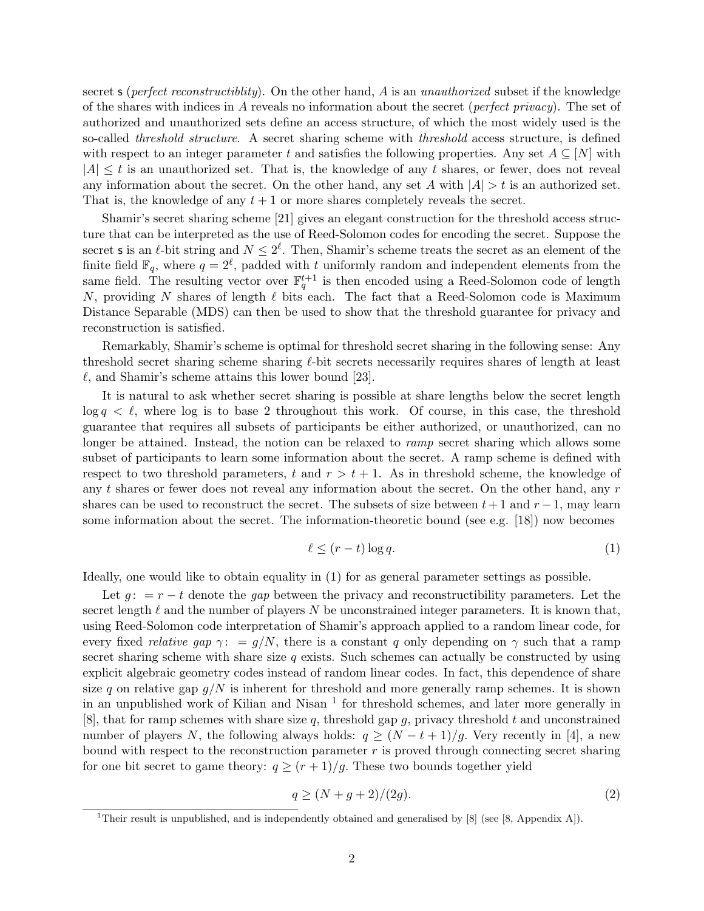secret s (*perfect reconstructiblity*). On the other hand,  $\vec{A}$  is an *unauthorized* subset if the knowledge of the shares with indices in A reveals no information about the secret (*perfect privacy*). The set of authorized and unauthorized sets define an access structure, of which the most widely used is the so-called threshold structure. A secret sharing scheme with threshold access structure, is defined with respect to an integer parameter t and satisfies the following properties. Any set  $A \subseteq [N]$  with  $|A| \leq t$  is an unauthorized set. That is, the knowledge of any t shares, or fewer, does not reveal any information about the secret. On the other hand, any set A with  $|A| > t$  is an authorized set. That is, the knowledge of any  $t + 1$  or more shares completely reveals the secret.

Shamir's secret sharing scheme [\[21\]](#page-19-0) gives an elegant construction for the threshold access structure that can be interpreted as the use of Reed-Solomon codes for encoding the secret. Suppose the secret s is an  $\ell$ -bit string and  $N \leq 2^{\ell}$ . Then, Shamir's scheme treats the secret as an element of the finite field  $\mathbb{F}_q$ , where  $q=2^{\ell}$ , padded with t uniformly random and independent elements from the same field. The resulting vector over  $\mathbb{F}_q^{t+1}$  is then encoded using a Reed-Solomon code of length N, providing N shares of length  $\ell$  bits each. The fact that a Reed-Solomon code is Maximum Distance Separable (MDS) can then be used to show that the threshold guarantee for privacy and reconstruction is satisfied.

Remarkably, Shamir's scheme is optimal for threshold secret sharing in the following sense: Any threshold secret sharing scheme sharing  $\ell$ -bit secrets necessarily requires shares of length at least  $\ell$ , and Shamir's scheme attains this lower bound [\[23\]](#page-19-1).

It is natural to ask whether secret sharing is possible at share lengths below the secret length  $\log q < \ell$ , where  $\log$  is to base 2 throughout this work. Of course, in this case, the threshold guarantee that requires all subsets of participants be either authorized, or unauthorized, can no longer be attained. Instead, the notion can be relaxed to ramp secret sharing which allows some subset of participants to learn some information about the secret. A ramp scheme is defined with respect to two threshold parameters, t and  $r > t + 1$ . As in threshold scheme, the knowledge of any  $t$  shares or fewer does not reveal any information about the secret. On the other hand, any  $r$ shares can be used to reconstruct the secret. The subsets of size between  $t+1$  and  $r-1$ , may learn some information about the secret. The information-theoretic bound (see e.g. [\[18\]](#page-19-2)) now becomes

<span id="page-1-0"></span>
$$
\ell \le (r-t)\log q. \tag{1}
$$

Ideally, one would like to obtain equality in [\(1\)](#page-1-0) for as general parameter settings as possible.

Let  $g: = r - t$  denote the gap between the privacy and reconstructibility parameters. Let the secret length  $\ell$  and the number of players N be unconstrained integer parameters. It is known that, using Reed-Solomon code interpretation of Shamir's approach applied to a random linear code, for every fixed *relative gap*  $\gamma$ : = g/N, there is a constant q only depending on  $\gamma$  such that a ramp secret sharing scheme with share size  $q$  exists. Such schemes can actually be constructed by using explicit algebraic geometry codes instead of random linear codes. In fact, this dependence of share size q on relative gap  $g/N$  is inherent for threshold and more generally ramp schemes. It is shown in an unpublished work of Kilian and Nisan  $<sup>1</sup>$  $<sup>1</sup>$  $<sup>1</sup>$  for threshold schemes, and later more generally in</sup> [\[8\]](#page-18-2), that for ramp schemes with share size q, threshold gap  $q$ , privacy threshold t and unconstrained number of players N, the following always holds:  $q \geq (N-t+1)/q$ . Very recently in [\[4\]](#page-18-3), a new bound with respect to the reconstruction parameter  $r$  is proved through connecting secret sharing for one bit secret to game theory:  $q \ge (r+1)/q$ . These two bounds together yield

<span id="page-1-2"></span>
$$
q \ge (N + g + 2)/(2g). \tag{2}
$$

<span id="page-1-1"></span><sup>&</sup>lt;sup>1</sup>Their result is unpublished, and is independently obtained and generalised by [\[8\]](#page-18-2) (see [\[8,](#page-18-2) Appendix A]).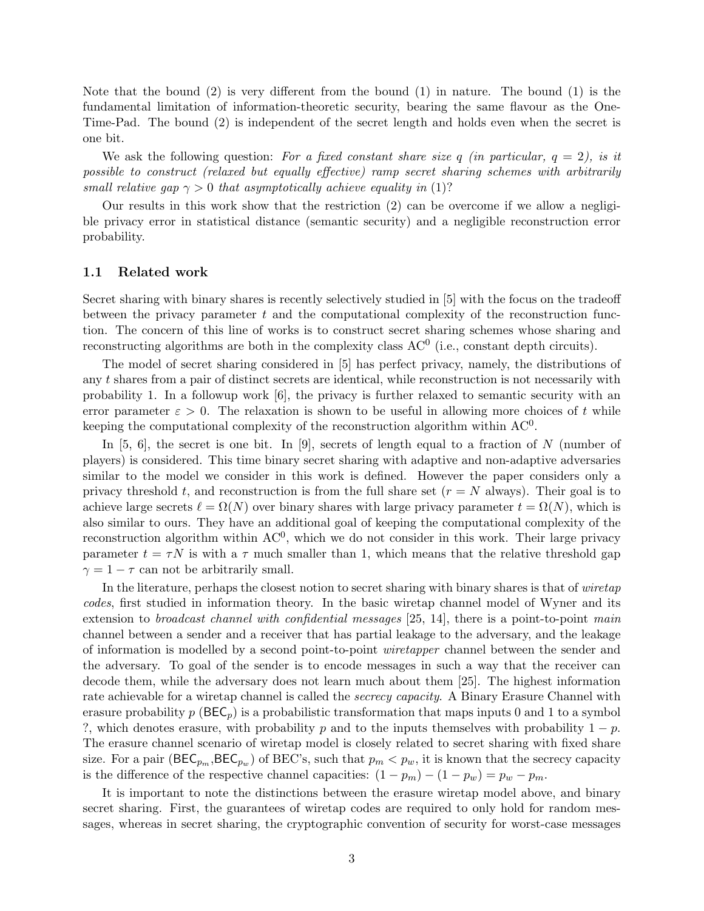Note that the bound [\(2\)](#page-1-2) is very different from the bound [\(1\)](#page-1-0) in nature. The bound [\(1\)](#page-1-0) is the fundamental limitation of information-theoretic security, bearing the same flavour as the One-Time-Pad. The bound [\(2\)](#page-1-2) is independent of the secret length and holds even when the secret is one bit.

We ask the following question: For a fixed constant share size q (in particular,  $q = 2$ ), is it possible to construct (relaxed but equally effective) ramp secret sharing schemes with arbitrarily small relative gap  $\gamma > 0$  that asymptotically achieve equality in [\(1\)](#page-1-0)?

Our results in this work show that the restriction [\(2\)](#page-1-2) can be overcome if we allow a negligible privacy error in statistical distance (semantic security) and a negligible reconstruction error probability.

#### 1.1 Related work

Secret sharing with binary shares is recently selectively studied in [\[5\]](#page-18-4) with the focus on the tradeoff between the privacy parameter  $t$  and the computational complexity of the reconstruction function. The concern of this line of works is to construct secret sharing schemes whose sharing and reconstructing algorithms are both in the complexity class  $AC^0$  (i.e., constant depth circuits).

The model of secret sharing considered in [\[5\]](#page-18-4) has perfect privacy, namely, the distributions of any t shares from a pair of distinct secrets are identical, while reconstruction is not necessarily with probability 1. In a followup work [\[6\]](#page-18-5), the privacy is further relaxed to semantic security with an error parameter  $\varepsilon > 0$ . The relaxation is shown to be useful in allowing more choices of t while keeping the computational complexity of the reconstruction algorithm within  $AC^0$ .

In  $[5, 6]$  $[5, 6]$ , the secret is one bit. In  $[9]$ , secrets of length equal to a fraction of N (number of players) is considered. This time binary secret sharing with adaptive and non-adaptive adversaries similar to the model we consider in this work is defined. However the paper considers only a privacy threshold t, and reconstruction is from the full share set  $(r = N$  always). Their goal is to achieve large secrets  $\ell = \Omega(N)$  over binary shares with large privacy parameter  $t = \Omega(N)$ , which is also similar to ours. They have an additional goal of keeping the computational complexity of the reconstruction algorithm within  $AC<sup>0</sup>$ , which we do not consider in this work. Their large privacy parameter  $t = \tau N$  is with a  $\tau$  much smaller than 1, which means that the relative threshold gap  $\gamma = 1 - \tau$  can not be arbitrarily small.

In the literature, perhaps the closest notion to secret sharing with binary shares is that of *wiretap* codes, first studied in information theory. In the basic wiretap channel model of Wyner and its extension to *broadcast channel with confidential messages* [\[25,](#page-19-3) [14\]](#page-18-7), there is a point-to-point main channel between a sender and a receiver that has partial leakage to the adversary, and the leakage of information is modelled by a second point-to-point wiretapper channel between the sender and the adversary. To goal of the sender is to encode messages in such a way that the receiver can decode them, while the adversary does not learn much about them [\[25\]](#page-19-3). The highest information rate achievable for a wiretap channel is called the *secrecy capacity*. A Binary Erasure Channel with erasure probability  $p(\mathsf{BEC}_p)$  is a probabilistic transformation that maps inputs 0 and 1 to a symbol ?, which denotes erasure, with probability p and to the inputs themselves with probability  $1 - p$ . The erasure channel scenario of wiretap model is closely related to secret sharing with fixed share size. For a pair ( $\mathsf{BEC}_{p_m}, \mathsf{BEC}_{p_w}$ ) of  $\mathrm{BEC}$ 's, such that  $p_m < p_w$ , it is known that the secrecy capacity is the difference of the respective channel capacities:  $(1 - p_m) - (1 - p_w) = p_w - p_m$ .

It is important to note the distinctions between the erasure wiretap model above, and binary secret sharing. First, the guarantees of wiretap codes are required to only hold for random messages, whereas in secret sharing, the cryptographic convention of security for worst-case messages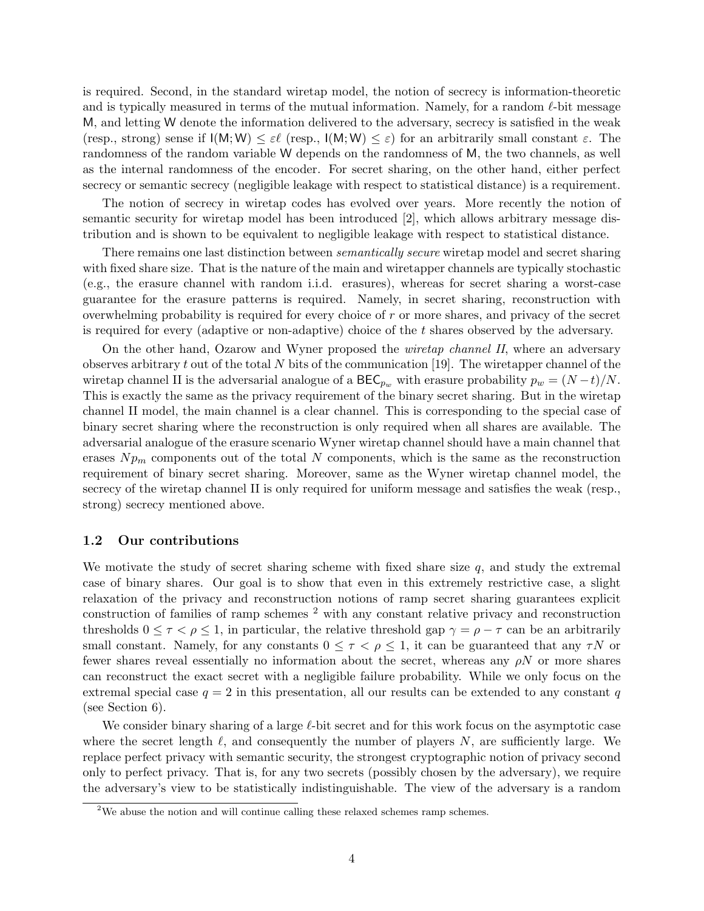is required. Second, in the standard wiretap model, the notion of secrecy is information-theoretic and is typically measured in terms of the mutual information. Namely, for a random  $\ell$ -bit message M, and letting W denote the information delivered to the adversary, secrecy is satisfied in the weak (resp., strong) sense if  $I(M; W) \leq \varepsilon \ell$  (resp.,  $I(M; W) \leq \varepsilon$ ) for an arbitrarily small constant  $\varepsilon$ . The randomness of the random variable W depends on the randomness of M, the two channels, as well as the internal randomness of the encoder. For secret sharing, on the other hand, either perfect secrecy or semantic secrecy (negligible leakage with respect to statistical distance) is a requirement.

The notion of secrecy in wiretap codes has evolved over years. More recently the notion of semantic security for wiretap model has been introduced [\[2\]](#page-18-8), which allows arbitrary message distribution and is shown to be equivalent to negligible leakage with respect to statistical distance.

There remains one last distinction between *semantically secure* wiretap model and secret sharing with fixed share size. That is the nature of the main and wiretapper channels are typically stochastic (e.g., the erasure channel with random i.i.d. erasures), whereas for secret sharing a worst-case guarantee for the erasure patterns is required. Namely, in secret sharing, reconstruction with overwhelming probability is required for every choice of r or more shares, and privacy of the secret is required for every (adaptive or non-adaptive) choice of the t shares observed by the adversary.

On the other hand, Ozarow and Wyner proposed the wiretap channel II, where an adversary observes arbitrary t out of the total N bits of the communication [\[19\]](#page-19-4). The wiretapper channel of the wiretap channel II is the adversarial analogue of a  $\text{BEC}_{p_w}$  with erasure probability  $p_w = (N-t)/N$ . This is exactly the same as the privacy requirement of the binary secret sharing. But in the wiretap channel II model, the main channel is a clear channel. This is corresponding to the special case of binary secret sharing where the reconstruction is only required when all shares are available. The adversarial analogue of the erasure scenario Wyner wiretap channel should have a main channel that erases  $N p<sub>m</sub>$  components out of the total N components, which is the same as the reconstruction requirement of binary secret sharing. Moreover, same as the Wyner wiretap channel model, the secrecy of the wiretap channel II is only required for uniform message and satisfies the weak (resp., strong) secrecy mentioned above.

#### 1.2 Our contributions

We motivate the study of secret sharing scheme with fixed share size  $q$ , and study the extremal case of binary shares. Our goal is to show that even in this extremely restrictive case, a slight relaxation of the privacy and reconstruction notions of ramp secret sharing guarantees explicit construction of families of ramp schemes [2](#page-3-0) with any constant relative privacy and reconstruction thresholds  $0 \leq \tau \leq \rho \leq 1$ , in particular, the relative threshold gap  $\gamma = \rho - \tau$  can be an arbitrarily small constant. Namely, for any constants  $0 \leq \tau \leq \rho \leq 1$ , it can be guaranteed that any  $\tau N$  or fewer shares reveal essentially no information about the secret, whereas any  $\rho N$  or more shares can reconstruct the exact secret with a negligible failure probability. While we only focus on the extremal special case  $q = 2$  in this presentation, all our results can be extended to any constant q (see Section [6\)](#page-17-0).

We consider binary sharing of a large  $\ell$ -bit secret and for this work focus on the asymptotic case where the secret length  $\ell$ , and consequently the number of players N, are sufficiently large. We replace perfect privacy with semantic security, the strongest cryptographic notion of privacy second only to perfect privacy. That is, for any two secrets (possibly chosen by the adversary), we require the adversary's view to be statistically indistinguishable. The view of the adversary is a random

<span id="page-3-0"></span><sup>&</sup>lt;sup>2</sup>We abuse the notion and will continue calling these relaxed schemes ramp schemes.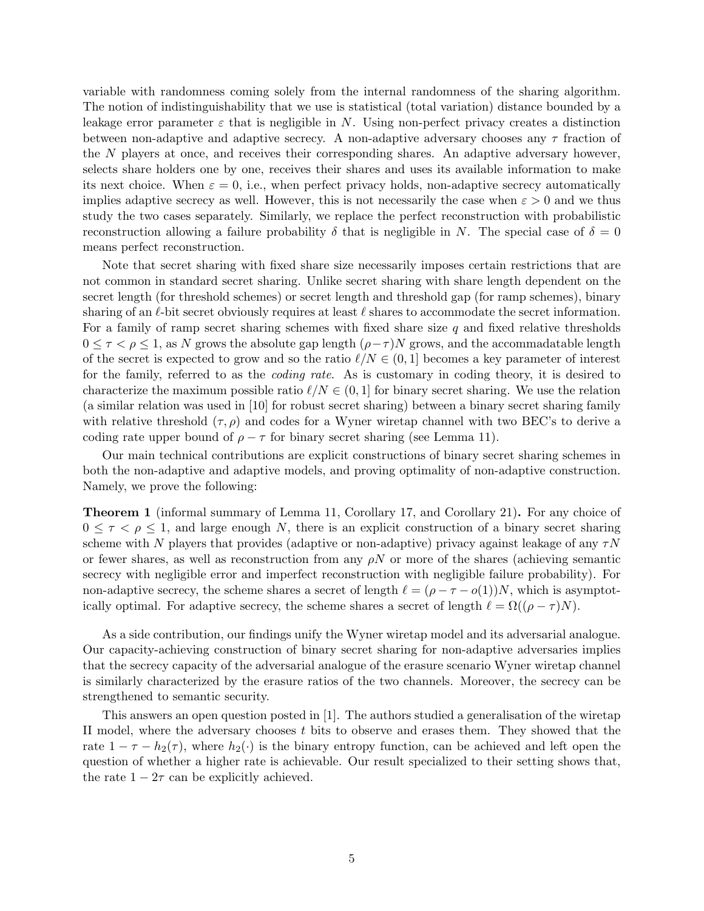variable with randomness coming solely from the internal randomness of the sharing algorithm. The notion of indistinguishability that we use is statistical (total variation) distance bounded by a leakage error parameter  $\varepsilon$  that is negligible in N. Using non-perfect privacy creates a distinction between non-adaptive and adaptive secrecy. A non-adaptive adversary chooses any  $\tau$  fraction of the N players at once, and receives their corresponding shares. An adaptive adversary however, selects share holders one by one, receives their shares and uses its available information to make its next choice. When  $\varepsilon = 0$ , i.e., when perfect privacy holds, non-adaptive secrecy automatically implies adaptive secrecy as well. However, this is not necessarily the case when  $\varepsilon > 0$  and we thus study the two cases separately. Similarly, we replace the perfect reconstruction with probabilistic reconstruction allowing a failure probability  $\delta$  that is negligible in N. The special case of  $\delta = 0$ means perfect reconstruction.

Note that secret sharing with fixed share size necessarily imposes certain restrictions that are not common in standard secret sharing. Unlike secret sharing with share length dependent on the secret length (for threshold schemes) or secret length and threshold gap (for ramp schemes), binary sharing of an  $\ell$ -bit secret obviously requires at least  $\ell$  shares to accommodate the secret information. For a family of ramp secret sharing schemes with fixed share size  $q$  and fixed relative thresholds  $0 \leq \tau \leq \rho \leq 1$ , as N grows the absolute gap length  $(\rho - \tau)N$  grows, and the accommadatable length of the secret is expected to grow and so the ratio  $\ell/N \in (0, 1]$  becomes a key parameter of interest for the family, referred to as the coding rate. As is customary in coding theory, it is desired to characterize the maximum possible ratio  $\ell/N \in (0, 1]$  for binary secret sharing. We use the relation (a similar relation was used in [\[10\]](#page-18-9) for robust secret sharing) between a binary secret sharing family with relative threshold  $(\tau, \rho)$  and codes for a Wyner wiretap channel with two BEC's to derive a coding rate upper bound of  $\rho - \tau$  for binary secret sharing (see Lemma [11\)](#page-10-0).

Our main technical contributions are explicit constructions of binary secret sharing schemes in both the non-adaptive and adaptive models, and proving optimality of non-adaptive construction. Namely, we prove the following:

Theorem 1 (informal summary of Lemma [11,](#page-10-0) Corollary [17,](#page-14-0) and Corollary [21\)](#page-17-1). For any choice of  $0 \leq \tau \leq \rho \leq 1$ , and large enough N, there is an explicit construction of a binary secret sharing scheme with N players that provides (adaptive or non-adaptive) privacy against leakage of any  $\tau N$ or fewer shares, as well as reconstruction from any  $\rho N$  or more of the shares (achieving semantic secrecy with negligible error and imperfect reconstruction with negligible failure probability). For non-adaptive secrecy, the scheme shares a secret of length  $\ell = (\rho - \tau - o(1))N$ , which is asymptotically optimal. For adaptive secrecy, the scheme shares a secret of length  $\ell = \Omega((\rho - \tau)N)$ .

As a side contribution, our findings unify the Wyner wiretap model and its adversarial analogue. Our capacity-achieving construction of binary secret sharing for non-adaptive adversaries implies that the secrecy capacity of the adversarial analogue of the erasure scenario Wyner wiretap channel is similarly characterized by the erasure ratios of the two channels. Moreover, the secrecy can be strengthened to semantic security.

This answers an open question posted in [\[1\]](#page-18-10). The authors studied a generalisation of the wiretap II model, where the adversary chooses  $t$  bits to observe and erases them. They showed that the rate  $1 - \tau - h_2(\tau)$ , where  $h_2(\cdot)$  is the binary entropy function, can be achieved and left open the question of whether a higher rate is achievable. Our result specialized to their setting shows that, the rate  $1 - 2\tau$  can be explicitly achieved.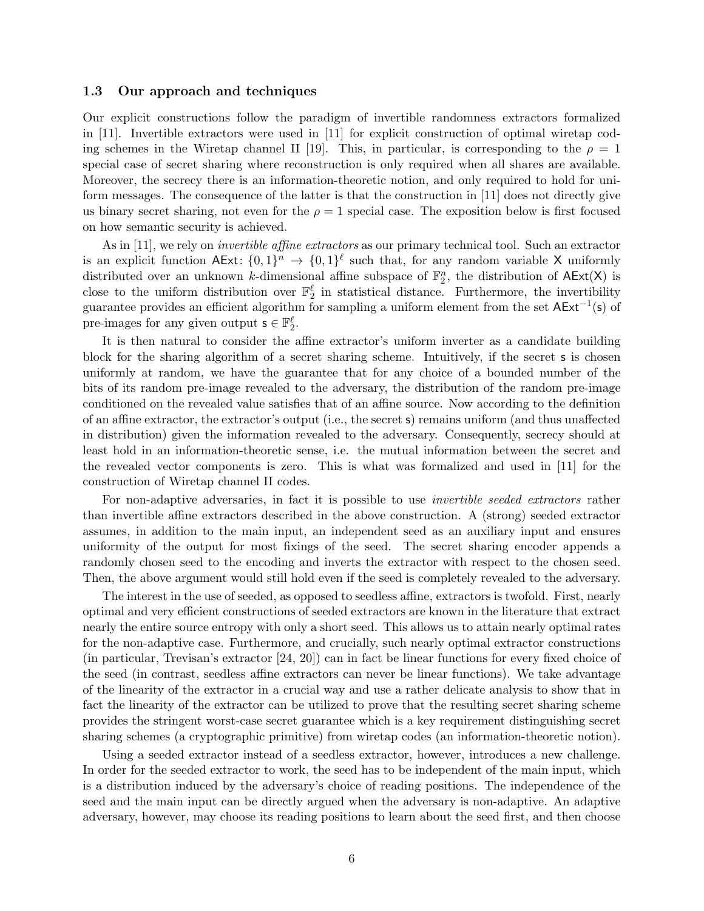#### 1.3 Our approach and techniques

Our explicit constructions follow the paradigm of invertible randomness extractors formalized in [\[11\]](#page-18-11). Invertible extractors were used in [\[11\]](#page-18-11) for explicit construction of optimal wiretap cod-ing schemes in the Wiretap channel II [\[19\]](#page-19-4). This, in particular, is corresponding to the  $\rho = 1$ special case of secret sharing where reconstruction is only required when all shares are available. Moreover, the secrecy there is an information-theoretic notion, and only required to hold for uniform messages. The consequence of the latter is that the construction in [\[11\]](#page-18-11) does not directly give us binary secret sharing, not even for the  $\rho = 1$  special case. The exposition below is first focused on how semantic security is achieved.

As in [\[11\]](#page-18-11), we rely on *invertible affine extractors* as our primary technical tool. Such an extractor is an explicit function  $AExt: \{0,1\}^n \to \{0,1\}^{\ell}$  such that, for any random variable X uniformly distributed over an unknown k-dimensional affine subspace of  $\mathbb{F}_2^n$ , the distribution of  $AExt(X)$  is close to the uniform distribution over  $\mathbb{F}_2^{\ell}$  in statistical distance. Furthermore, the invertibility guarantee provides an efficient algorithm for sampling a uniform element from the set  $AExt^{-1}(s)$  of pre-images for any given output  $\mathbf{s} \in \mathbb{F}_2^{\ell}$ .

It is then natural to consider the affine extractor's uniform inverter as a candidate building block for the sharing algorithm of a secret sharing scheme. Intuitively, if the secret s is chosen uniformly at random, we have the guarantee that for any choice of a bounded number of the bits of its random pre-image revealed to the adversary, the distribution of the random pre-image conditioned on the revealed value satisfies that of an affine source. Now according to the definition of an affine extractor, the extractor's output (i.e., the secret s) remains uniform (and thus unaffected in distribution) given the information revealed to the adversary. Consequently, secrecy should at least hold in an information-theoretic sense, i.e. the mutual information between the secret and the revealed vector components is zero. This is what was formalized and used in [\[11\]](#page-18-11) for the construction of Wiretap channel II codes.

For non-adaptive adversaries, in fact it is possible to use *invertible seeded extractors* rather than invertible affine extractors described in the above construction. A (strong) seeded extractor assumes, in addition to the main input, an independent seed as an auxiliary input and ensures uniformity of the output for most fixings of the seed. The secret sharing encoder appends a randomly chosen seed to the encoding and inverts the extractor with respect to the chosen seed. Then, the above argument would still hold even if the seed is completely revealed to the adversary.

The interest in the use of seeded, as opposed to seedless affine, extractors is twofold. First, nearly optimal and very efficient constructions of seeded extractors are known in the literature that extract nearly the entire source entropy with only a short seed. This allows us to attain nearly optimal rates for the non-adaptive case. Furthermore, and crucially, such nearly optimal extractor constructions (in particular, Trevisan's extractor [\[24,](#page-19-5) [20\]](#page-19-6)) can in fact be linear functions for every fixed choice of the seed (in contrast, seedless affine extractors can never be linear functions). We take advantage of the linearity of the extractor in a crucial way and use a rather delicate analysis to show that in fact the linearity of the extractor can be utilized to prove that the resulting secret sharing scheme provides the stringent worst-case secret guarantee which is a key requirement distinguishing secret sharing schemes (a cryptographic primitive) from wiretap codes (an information-theoretic notion).

Using a seeded extractor instead of a seedless extractor, however, introduces a new challenge. In order for the seeded extractor to work, the seed has to be independent of the main input, which is a distribution induced by the adversary's choice of reading positions. The independence of the seed and the main input can be directly argued when the adversary is non-adaptive. An adaptive adversary, however, may choose its reading positions to learn about the seed first, and then choose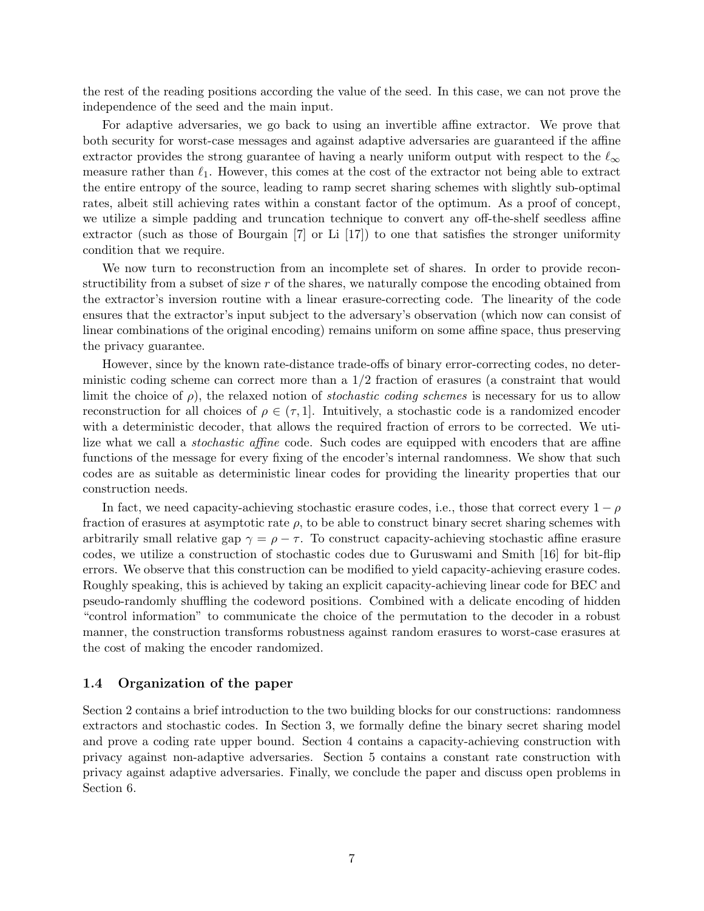the rest of the reading positions according the value of the seed. In this case, we can not prove the independence of the seed and the main input.

For adaptive adversaries, we go back to using an invertible affine extractor. We prove that both security for worst-case messages and against adaptive adversaries are guaranteed if the affine extractor provides the strong guarantee of having a nearly uniform output with respect to the  $\ell_{\infty}$ measure rather than  $\ell_1$ . However, this comes at the cost of the extractor not being able to extract the entire entropy of the source, leading to ramp secret sharing schemes with slightly sub-optimal rates, albeit still achieving rates within a constant factor of the optimum. As a proof of concept, we utilize a simple padding and truncation technique to convert any off-the-shelf seedless affine extractor (such as those of Bourgain [\[7\]](#page-18-12) or Li [\[17\]](#page-19-7)) to one that satisfies the stronger uniformity condition that we require.

We now turn to reconstruction from an incomplete set of shares. In order to provide reconstructibility from a subset of size  $r$  of the shares, we naturally compose the encoding obtained from the extractor's inversion routine with a linear erasure-correcting code. The linearity of the code ensures that the extractor's input subject to the adversary's observation (which now can consist of linear combinations of the original encoding) remains uniform on some affine space, thus preserving the privacy guarantee.

However, since by the known rate-distance trade-offs of binary error-correcting codes, no deterministic coding scheme can correct more than a 1/2 fraction of erasures (a constraint that would limit the choice of  $\rho$ ), the relaxed notion of *stochastic coding schemes* is necessary for us to allow reconstruction for all choices of  $\rho \in (\tau, 1]$ . Intuitively, a stochastic code is a randomized encoder with a deterministic decoder, that allows the required fraction of errors to be corrected. We utilize what we call a stochastic affine code. Such codes are equipped with encoders that are affine functions of the message for every fixing of the encoder's internal randomness. We show that such codes are as suitable as deterministic linear codes for providing the linearity properties that our construction needs.

In fact, we need capacity-achieving stochastic erasure codes, i.e., those that correct every  $1 - \rho$ fraction of erasures at asymptotic rate  $\rho$ , to be able to construct binary secret sharing schemes with arbitrarily small relative gap  $\gamma = \rho - \tau$ . To construct capacity-achieving stochastic affine erasure codes, we utilize a construction of stochastic codes due to Guruswami and Smith [\[16\]](#page-19-8) for bit-flip errors. We observe that this construction can be modified to yield capacity-achieving erasure codes. Roughly speaking, this is achieved by taking an explicit capacity-achieving linear code for BEC and pseudo-randomly shuffling the codeword positions. Combined with a delicate encoding of hidden "control information" to communicate the choice of the permutation to the decoder in a robust manner, the construction transforms robustness against random erasures to worst-case erasures at the cost of making the encoder randomized.

#### 1.4 Organization of the paper

Section [2](#page-7-0) contains a brief introduction to the two building blocks for our constructions: randomness extractors and stochastic codes. In Section [3,](#page-8-0) we formally define the binary secret sharing model and prove a coding rate upper bound. Section [4](#page-11-0) contains a capacity-achieving construction with privacy against non-adaptive adversaries. Section [5](#page-14-1) contains a constant rate construction with privacy against adaptive adversaries. Finally, we conclude the paper and discuss open problems in Section [6.](#page-17-0)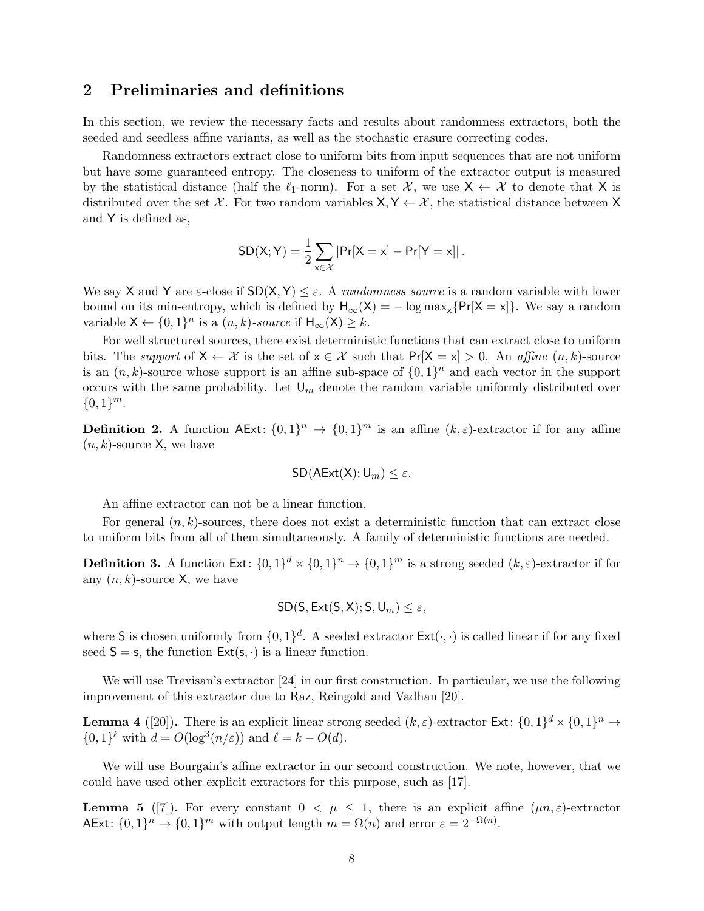### <span id="page-7-0"></span>2 Preliminaries and definitions

In this section, we review the necessary facts and results about randomness extractors, both the seeded and seedless affine variants, as well as the stochastic erasure correcting codes.

Randomness extractors extract close to uniform bits from input sequences that are not uniform but have some guaranteed entropy. The closeness to uniform of the extractor output is measured by the statistical distance (half the  $\ell_1$ -norm). For a set  $\mathcal{X}$ , we use  $X \leftarrow \mathcal{X}$  to denote that X is distributed over the set X. For two random variables  $X, Y \leftarrow X$ , the statistical distance between X and Y is defined as,

$$
SD(X;Y) = \frac{1}{2}\sum_{x\in\mathcal{X}}|Pr[X=x] - Pr[Y=x]|.
$$

We say X and Y are  $\varepsilon$ -close if  $SD(X, Y) \leq \varepsilon$ . A *randomness source* is a random variable with lower bound on its min-entropy, which is defined by  $H_{\infty}(X) = -\log \max_{x} \{Pr[X = x]\}\$ . We say a random variable  $X \leftarrow \{0,1\}^n$  is a  $(n,k)$ -source if  $H_{\infty}(X) \geq k$ .

For well structured sources, there exist deterministic functions that can extract close to uniform bits. The support of  $X \leftarrow X$  is the set of  $x \in X$  such that  $Pr[X = x] > 0$ . An affine  $(n, k)$ -source is an  $(n, k)$ -source whose support is an affine sub-space of  $\{0, 1\}^n$  and each vector in the support occurs with the same probability. Let  $\mathsf{U}_m$  denote the random variable uniformly distributed over  ${0,1}^m$ .

**Definition 2.** A function  $AExt: \{0,1\}^n \rightarrow \{0,1\}^m$  is an affine  $(k,\varepsilon)$ -extractor if for any affine  $(n, k)$ -source X, we have

$$
SD(AExt(X); U_m) \leq \varepsilon.
$$

An affine extractor can not be a linear function.

For general  $(n, k)$ -sources, there does not exist a deterministic function that can extract close to uniform bits from all of them simultaneously. A family of deterministic functions are needed.

**Definition 3.** A function  $Ext: \{0,1\}^d \times \{0,1\}^n \rightarrow \{0,1\}^m$  is a strong seeded  $(k,\varepsilon)$ -extractor if for any  $(n, k)$ -source X, we have

$$
\mathsf{SD}(\mathsf{S}, \mathsf{Ext}(\mathsf{S}, \mathsf{X}); \mathsf{S}, \mathsf{U}_m) \leq \varepsilon,
$$

where S is chosen uniformly from  $\{0,1\}^d$ . A seeded extractor  $\textsf{Ext}(\cdot,\cdot)$  is called linear if for any fixed seed  $S = s$ , the function  $Ext(s, \cdot)$  is a linear function.

We will use Trevisan's extractor [\[24\]](#page-19-5) in our first construction. In particular, we use the following improvement of this extractor due to Raz, Reingold and Vadhan [\[20\]](#page-19-6).

<span id="page-7-1"></span>**Lemma 4** ([\[20\]](#page-19-6)). There is an explicit linear strong seeded  $(k, \varepsilon)$ -extractor Ext:  $\{0, 1\}^d \times \{0, 1\}^n \to$  $\{0,1\}^{\ell}$  with  $d = O(\log^3(n/\varepsilon))$  and  $\ell = k - O(d)$ .

We will use Bourgain's affine extractor in our second construction. We note, however, that we could have used other explicit extractors for this purpose, such as [\[17\]](#page-19-7).

<span id="page-7-2"></span>**Lemma 5** ([\[7\]](#page-18-12)). For every constant  $0 < \mu \leq 1$ , there is an explicit affine  $(\mu n, \varepsilon)$ -extractor AExt:  $\{0,1\}^n \to \{0,1\}^m$  with output length  $m = \Omega(n)$  and error  $\varepsilon = 2^{-\Omega(n)}$ .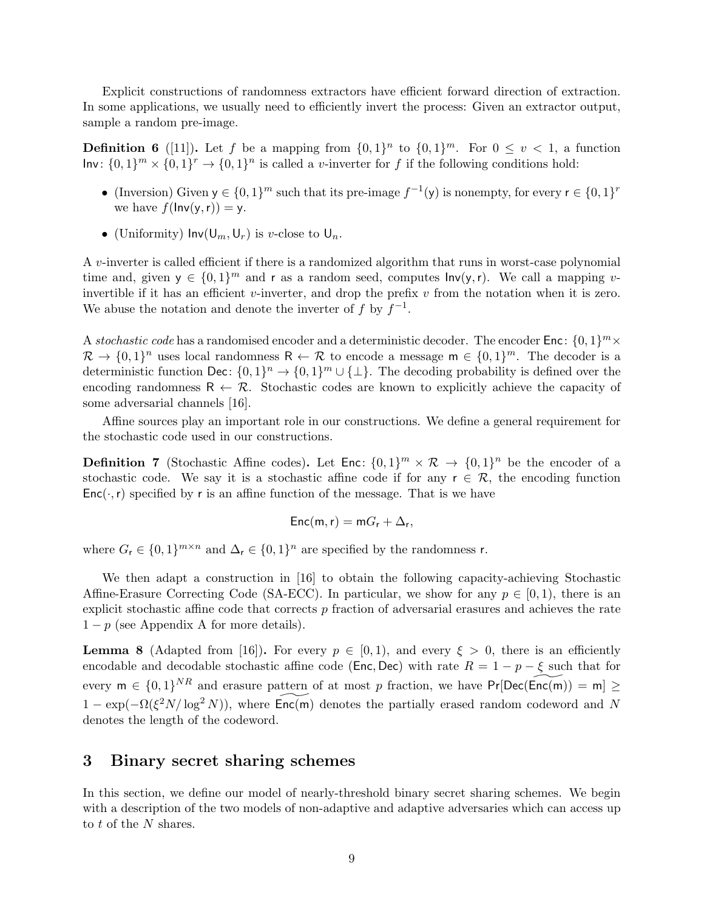Explicit constructions of randomness extractors have efficient forward direction of extraction. In some applications, we usually need to efficiently invert the process: Given an extractor output, sample a random pre-image.

<span id="page-8-2"></span>**Definition 6** ([\[11\]](#page-18-11)). Let f be a mapping from  $\{0,1\}^n$  to  $\{0,1\}^m$ . For  $0 \le v \le 1$ , a function  $Inv: \{0,1\}^m \times \{0,1\}^r \rightarrow \{0,1\}^n$  is called a v-inverter for f if the following conditions hold:

- (Inversion) Given  $y \in \{0,1\}^m$  such that its pre-image  $f^{-1}(y)$  is nonempty, for every  $r \in \{0,1\}^r$ we have  $f(\ln v(y,r)) = y$ .
- (Uniformity)  $Inv(U_m, U_r)$  is v-close to  $U_n$ .

A v-inverter is called efficient if there is a randomized algorithm that runs in worst-case polynomial time and, given  $y \in \{0,1\}^m$  and r as a random seed, computes  $\mathsf{Inv}(y,r)$ . We call a mapping vinvertible if it has an efficient v-inverter, and drop the prefix  $v$  from the notation when it is zero. We abuse the notation and denote the inverter of f by  $f^{-1}$ .

A stochastic code has a randomised encoder and a deterministic decoder. The encoder Enc:  $\{0,1\}^m$  ×  $\mathcal{R} \to \{0,1\}^n$  uses local randomness  $\mathsf{R} \leftarrow \mathcal{R}$  to encode a message  $\mathsf{m} \in \{0,1\}^m$ . The decoder is a deterministic function Dec:  $\{0,1\}^n \to \{0,1\}^m \cup \{\perp\}$ . The decoding probability is defined over the encoding randomness  $\mathsf{R} \leftarrow \mathcal{R}$ . Stochastic codes are known to explicitly achieve the capacity of some adversarial channels [\[16\]](#page-19-8).

Affine sources play an important role in our constructions. We define a general requirement for the stochastic code used in our constructions.

**Definition 7** (Stochastic Affine codes). Let  $\text{Enc}: \{0,1\}^m \times \mathcal{R} \to \{0,1\}^n$  be the encoder of a stochastic code. We say it is a stochastic affine code if for any  $r \in \mathcal{R}$ , the encoding function  $Enc(\cdot, r)$  specified by r is an affine function of the message. That is we have

$$
\mathsf{Enc}(m,r) = mG_r + \Delta_r,
$$

where  $G_r \in \{0,1\}^{m \times n}$  and  $\Delta_r \in \{0,1\}^n$  are specified by the randomness r.

We then adapt a construction in [\[16\]](#page-19-8) to obtain the following capacity-achieving Stochastic Affine-Erasure Correcting Code (SA-ECC). In particular, we show for any  $p \in [0, 1)$ , there is an explicit stochastic affine code that corrects  $p$  fraction of adversarial erasures and achieves the rate  $1-p$  (see [A](#page-19-9)ppendix A for more details).

<span id="page-8-1"></span>**Lemma 8** (Adapted from [\[16\]](#page-19-8)). For every  $p \in [0,1)$ , and every  $\xi > 0$ , there is an efficiently encodable and decodable stochastic affine code (Enc, Dec) with rate  $R = 1 - p - \xi$  such that for every  $m \in \{0,1\}^{NR}$  and erasure pattern of at most p fraction, we have  $Pr[Dec(\widetilde{Enc(m)}) = m] \ge$  $1 - \exp(-\Omega(\xi^2 N/\log^2 N))$ , where  $\widetilde{\text{Enc}(m)}$  denotes the partially erased random codeword and N denotes the length of the codeword.

### <span id="page-8-0"></span>3 Binary secret sharing schemes

In this section, we define our model of nearly-threshold binary secret sharing schemes. We begin with a description of the two models of non-adaptive and adaptive adversaries which can access up to t of the N shares.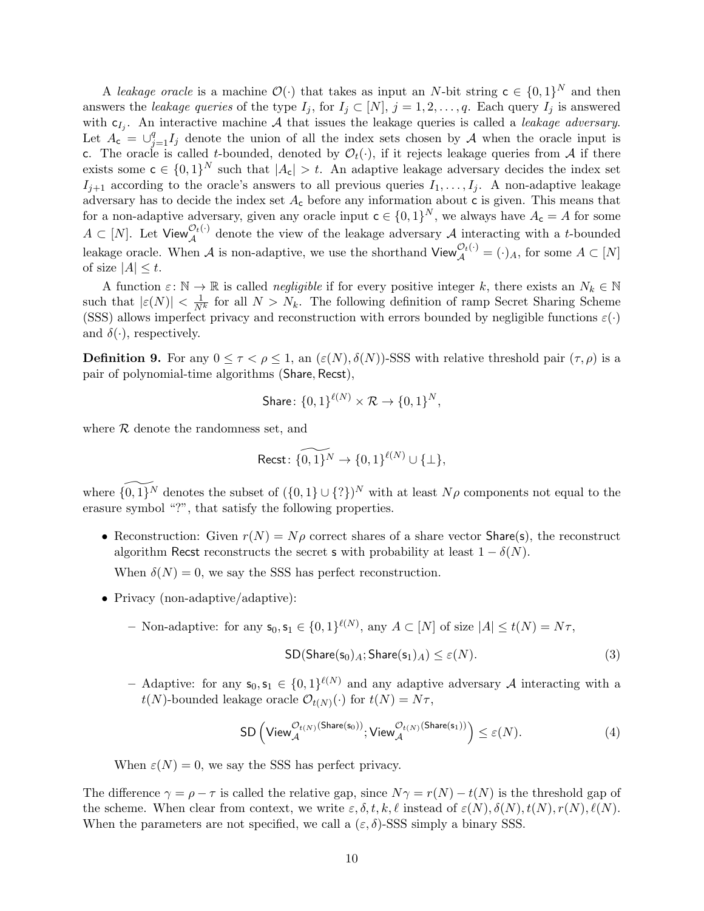A leakage oracle is a machine  $\mathcal{O}(\cdot)$  that takes as input an N-bit string  $c \in \{0,1\}^N$  and then answers the leakage queries of the type  $I_j$ , for  $I_j \subset [N], j = 1, 2, \ldots, q$ . Each query  $I_j$  is answered with  $c_{I_j}$ . An interactive machine A that issues the leakage queries is called a *leakage adversary*. Let  $A_c = \bigcup_{j=1}^q I_j$  denote the union of all the index sets chosen by A when the oracle input is c. The oracle is called t-bounded, denoted by  $\mathcal{O}_t(\cdot)$ , if it rejects leakage queries from A if there exists some  $c \in \{0,1\}^N$  such that  $|A_c| > t$ . An adaptive leakage adversary decides the index set  $I_{i+1}$  according to the oracle's answers to all previous queries  $I_1, \ldots, I_j$ . A non-adaptive leakage adversary has to decide the index set  $A_c$  before any information about c is given. This means that for a non-adaptive adversary, given any oracle input  $c \in \{0,1\}^N$ , we always have  $A_c = A$  for some  $A \subset [N]$ . Let View  $\mathcal{O}_t^{(1)}$  denote the view of the leakage adversary A interacting with a t-bounded leakage oracle. When A is non-adaptive, we use the shorthand  $\mathsf{View}_{\mathcal{A}}^{\mathcal{O}_t(\cdot)} = (\cdot)_A$ , for some  $A \subset [N]$ of size  $|A| \leq t$ .

A function  $\varepsilon: \mathbb{N} \to \mathbb{R}$  is called *negligible* if for every positive integer k, there exists an  $N_k \in \mathbb{N}$ such that  $|\varepsilon(N)| < \frac{1}{N^k}$  for all  $N > N_k$ . The following definition of ramp Secret Sharing Scheme (SSS) allows imperfect privacy and reconstruction with errors bounded by negligible functions  $\varepsilon(\cdot)$ and  $\delta(\cdot)$ , respectively.

**Definition 9.** For any  $0 \leq \tau \leq \rho \leq 1$ , an  $(\varepsilon(N), \delta(N))$ -SSS with relative threshold pair  $(\tau, \rho)$  is a pair of polynomial-time algorithms (Share, Recst),

$$
\text{Share} \colon \{0,1\}^{\ell(N)} \times \mathcal{R} \to \{0,1\}^N,
$$

where  $R$  denote the randomness set, and

$$
\text{Recst}\colon \widetilde{\{0,1\}^N}\to \{0,1\}^{\ell(N)}\cup\{\bot\},
$$

where  $\widetilde{\{0,1\}^N}$  denotes the subset of  $({0, 1} \cup {?})^N$  with at least  $N\rho$  components not equal to the erasure symbol "?", that satisfy the following properties.

• Reconstruction: Given  $r(N) = N\rho$  correct shares of a share vector Share(s), the reconstruct algorithm Recst reconstructs the secret s with probability at least  $1 - \delta(N)$ .

When  $\delta(N) = 0$ , we say the SSS has perfect reconstruction.

- Privacy (non-adaptive/adaptive):
	- Non-adaptive: for any  $\mathsf{s}_0, \mathsf{s}_1 \in \{0,1\}^{\ell(N)}$ , any  $A \subset [N]$  of size  $|A| \leq t(N) = N\tau$ ,  $SD(Share(s<sub>0</sub>)<sub>A</sub>;Share(s<sub>1</sub>)<sub>A</sub>) \leq \varepsilon(N).$  (3)
	- Adaptive: for any  $s_0, s_1 \in \{0,1\}^{\ell(N)}$  and any adaptive adversary A interacting with a  $t(N)$ -bounded leakage oracle  $\mathcal{O}_{t(N)}(\cdot)$  for  $t(N) = N\tau$ ,

$$
\text{SD}\left(\text{View}_{\mathcal{A}}^{\mathcal{O}_{t(N)}(\text{Share}(s_0))}; \text{View}_{\mathcal{A}}^{\mathcal{O}_{t(N)}(\text{Share}(s_1))}\right) \leq \varepsilon(N). \tag{4}
$$

When  $\varepsilon(N) = 0$ , we say the SSS has perfect privacy.

The difference  $\gamma = \rho - \tau$  is called the relative gap, since  $N\gamma = r(N) - t(N)$  is the threshold gap of the scheme. When clear from context, we write  $\varepsilon, \delta, t, k, \ell$  instead of  $\varepsilon(N), \delta(N), t(N), r(N), \ell(N)$ . When the parameters are not specified, we call a  $(\varepsilon, \delta)$ -SSS simply a binary SSS.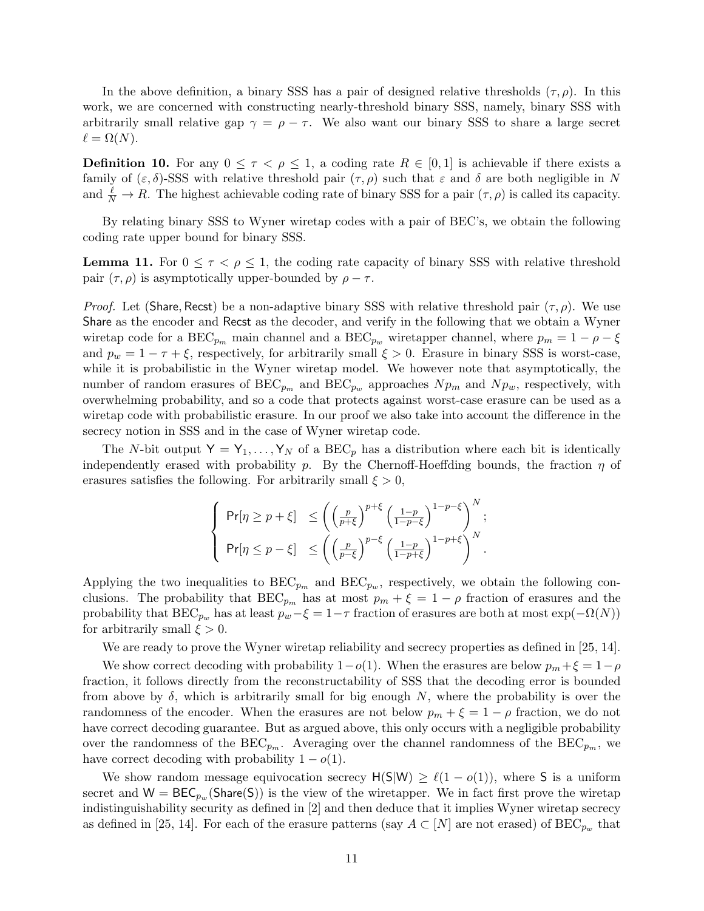In the above definition, a binary SSS has a pair of designed relative thresholds  $(\tau, \rho)$ . In this work, we are concerned with constructing nearly-threshold binary SSS, namely, binary SSS with arbitrarily small relative gap  $\gamma = \rho - \tau$ . We also want our binary SSS to share a large secret  $\ell = \Omega(N).$ 

**Definition 10.** For any  $0 \leq \tau \leq \rho \leq 1$ , a coding rate  $R \in [0,1]$  is achievable if there exists a family of  $(\varepsilon, \delta)$ -SSS with relative threshold pair  $(\tau, \rho)$  such that  $\varepsilon$  and  $\delta$  are both negligible in N and  $\frac{\ell}{N} \to R$ . The highest achievable coding rate of binary SSS for a pair  $(\tau, \rho)$  is called its capacity.

By relating binary SSS to Wyner wiretap codes with a pair of BEC's, we obtain the following coding rate upper bound for binary SSS.

<span id="page-10-0"></span>**Lemma 11.** For  $0 \leq \tau \leq \rho \leq 1$ , the coding rate capacity of binary SSS with relative threshold pair  $(\tau, \rho)$  is asymptotically upper-bounded by  $\rho - \tau$ .

*Proof.* Let (Share, Recst) be a non-adaptive binary SSS with relative threshold pair  $(\tau, \rho)$ . We use Share as the encoder and Recst as the decoder, and verify in the following that we obtain a Wyner wiretap code for a BEC<sub>p<sub>m</sub></sub> main channel and a BEC<sub>pw</sub> wiretapper channel, where  $p_m = 1 - \rho - \xi$ and  $p_w = 1 - \tau + \xi$ , respectively, for arbitrarily small  $\xi > 0$ . Erasure in binary SSS is worst-case, while it is probabilistic in the Wyner wiretap model. We however note that asymptotically, the number of random erasures of BEC<sub>pm</sub> and BEC<sub>pw</sub> approaches  $N p_m$  and  $N p_w$ , respectively, with overwhelming probability, and so a code that protects against worst-case erasure can be used as a wiretap code with probabilistic erasure. In our proof we also take into account the difference in the secrecy notion in SSS and in the case of Wyner wiretap code.

The N-bit output  $Y = Y_1, \ldots, Y_N$  of a BEC<sub>p</sub> has a distribution where each bit is identically independently erased with probability p. By the Chernoff-Hoeffding bounds, the fraction  $\eta$  of erasures satisfies the following. For arbitrarily small  $\xi > 0$ ,

$$
\left\{ \begin{array}{ll} \Pr[\eta \geq p+\xi] & \leq \left( \left( \frac{p}{p+\xi} \right)^{p+\xi} \left( \frac{1-p}{1-p-\xi} \right)^{1-p-\xi} \right)^N; \\[10pt] \Pr[\eta \leq p-\xi] & \leq \left( \left( \frac{p}{p-\xi} \right)^{p-\xi} \left( \frac{1-p}{1-p+\xi} \right)^{1-p+\xi} \right)^N. \end{array} \right.
$$

Applying the two inequalities to  $BEC_{p_m}$  and  $BEC_{p_w}$ , respectively, we obtain the following conclusions. The probability that  $BEC_{p_m}$  has at most  $p_m + \xi = 1 - \rho$  fraction of erasures and the probability that  $BEC_{p_w}$  has at least  $p_w-\xi=1-\tau$  fraction of erasures are both at most  $\exp(-\Omega(N))$ for arbitrarily small  $\xi > 0$ .

We are ready to prove the Wyner wiretap reliability and secrecy properties as defined in [\[25,](#page-19-3) [14\]](#page-18-7).

We show correct decoding with probability  $1-o(1)$ . When the erasures are below  $p_m + \xi = 1-\rho$ fraction, it follows directly from the reconstructability of SSS that the decoding error is bounded from above by  $\delta$ , which is arbitrarily small for big enough N, where the probability is over the randomness of the encoder. When the erasures are not below  $p_m + \xi = 1 - \rho$  fraction, we do not have correct decoding guarantee. But as argued above, this only occurs with a negligible probability over the randomness of the  $BEC_{p_m}$ . Averaging over the channel randomness of the  $BEC_{p_m}$ , we have correct decoding with probability  $1 - o(1)$ .

We show random message equivocation secrecy  $H(S|W) \ge \ell(1 - o(1))$ , where S is a uniform secret and  $W = \text{BEC}_{p_w}(\text{Share}(S))$  is the view of the wiretapper. We in fact first prove the wiretap indistinguishability security as defined in [\[2\]](#page-18-8) and then deduce that it implies Wyner wiretap secrecy as defined in [\[25,](#page-19-3) [14\]](#page-18-7). For each of the erasure patterns (say  $A \subset [N]$  are not erased) of  $BEC_{p_{w}}$  that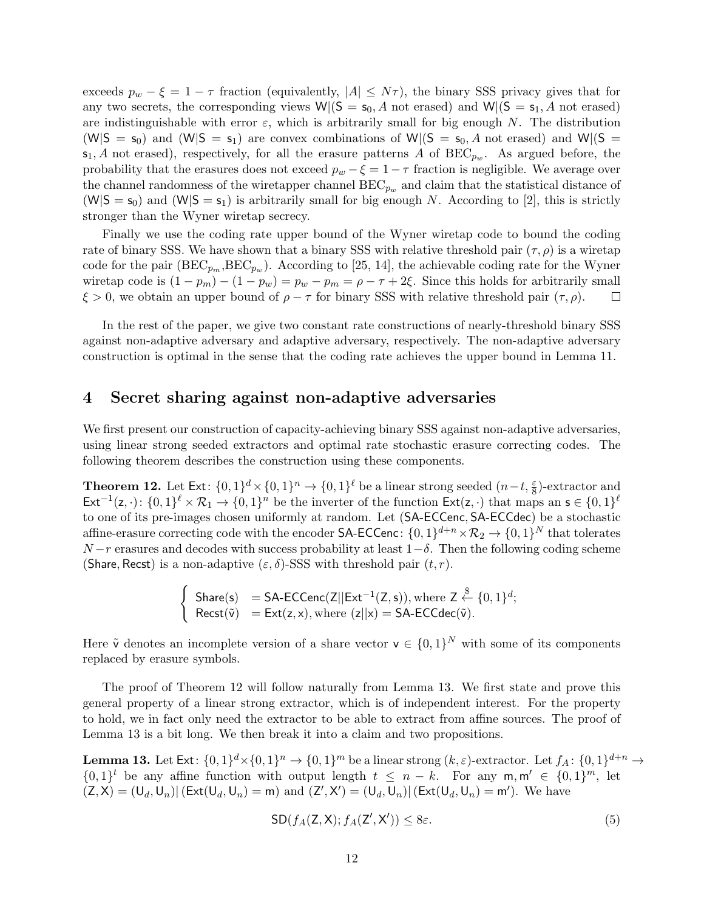exceeds  $p_w - \xi = 1 - \tau$  fraction (equivalently,  $|A| \leq N\tau$ ), the binary SSS privacy gives that for any two secrets, the corresponding views  $W|(S = s_0, A \text{ not erased})$  and  $W|(S = s_1, A \text{ not erased})$ are indistinguishable with error  $\varepsilon$ , which is arbitrarily small for big enough N. The distribution  $(W|S = s_0)$  and  $(W|S = s_1)$  are convex combinations of  $W|(S = s_0, A)$  not erased) and  $W|(S = s_0)$  $\mathsf{s}_1$ , A not erased), respectively, for all the erasure patterns A of BEC<sub>pw</sub>. As argued before, the probability that the erasures does not exceed  $p_w - \xi = 1 - \tau$  fraction is negligible. We average over the channel randomness of the wiretapper channel  $BEC_{p_w}$  and claim that the statistical distance of  $(W|S = s_0)$  and  $(W|S = s_1)$  is arbitrarily small for big enough N. According to [\[2\]](#page-18-8), this is strictly stronger than the Wyner wiretap secrecy.

Finally we use the coding rate upper bound of the Wyner wiretap code to bound the coding rate of binary SSS. We have shown that a binary SSS with relative threshold pair  $(\tau, \rho)$  is a wiretap code for the pair  $(BEC_{p_m},BEC_{p_w})$ . According to [\[25,](#page-19-3) [14\]](#page-18-7), the achievable coding rate for the Wyner wiretap code is  $(1 - p_m) - (1 - p_w) = p_w - p_m = \rho - \tau + 2\xi$ . Since this holds for arbitrarily small  $\xi > 0$ , we obtain an upper bound of  $\rho - \tau$  for binary SSS with relative threshold pair  $(\tau, \rho)$ .  $\Box$ 

In the rest of the paper, we give two constant rate constructions of nearly-threshold binary SSS against non-adaptive adversary and adaptive adversary, respectively. The non-adaptive adversary construction is optimal in the sense that the coding rate achieves the upper bound in Lemma [11.](#page-10-0)

### <span id="page-11-0"></span>4 Secret sharing against non-adaptive adversaries

We first present our construction of capacity-achieving binary SSS against non-adaptive adversaries, using linear strong seeded extractors and optimal rate stochastic erasure correcting codes. The following theorem describes the construction using these components.

<span id="page-11-1"></span>**Theorem 12.** Let Ext:  $\{0,1\}^d \times \{0,1\}^n \to \{0,1\}^{\ell}$  be a linear strong seeded  $(n-t, \frac{\varepsilon}{8})$ -extractor and  $\textsf{Ext}^{-1}(z, \cdot): \{0,1\}^\ell \times \mathcal{R}_1 \to \{0,1\}^n$  be the inverter of the function  $\textsf{Ext}(z, \cdot)$  that maps an  $s \in \{0,1\}^\ell$ to one of its pre-images chosen uniformly at random. Let (SA-ECCenc, SA-ECCdec) be a stochastic affine-erasure correcting code with the encoder SA-ECCenc:  $\{0,1\}^{d+n} \times \mathcal{R}_2 \to \{0,1\}^N$  that tolerates  $N-r$  erasures and decodes with success probability at least  $1-\delta$ . Then the following coding scheme (Share, Recst) is a non-adaptive  $(\varepsilon, \delta)$ -SSS with threshold pair  $(t, r)$ .

$$
\begin{cases}\text{Share}(s) &= SA\text{-ECCenc}(Z||Ext^{-1}(Z,s)), \text{where } Z \xleftarrow{\$} \{0,1\}^d; \\ \text{Recst}(\widetilde{v}) &= Ext(z,x), \text{where } (z||x) = SA\text{-ECCdec}(\widetilde{v}).\end{cases}
$$

Here  $\tilde{\mathbf{v}}$  denotes an incomplete version of a share vector  $\mathbf{v} \in \{0,1\}^N$  with some of its components replaced by erasure symbols.

The proof of Theorem [12](#page-11-1) will follow naturally from Lemma [13.](#page-11-2) We first state and prove this general property of a linear strong extractor, which is of independent interest. For the property to hold, we in fact only need the extractor to be able to extract from affine sources. The proof of Lemma [13](#page-11-2) is a bit long. We then break it into a claim and two propositions.

<span id="page-11-2"></span>**Lemma 13.** Let  $Ext: \{0,1\}^d \times \{0,1\}^n \to \{0,1\}^m$  be a linear strong  $(k,\varepsilon)$ -extractor. Let  $f_A: \{0,1\}^{d+n} \to$  $\{0,1\}^t$  be any affine function with output length  $t \leq n-k$ . For any  $m, m' \in \{0,1\}^m$ , let  $(Z, X) = (U_d, U_n)$  (Ext $(U_d, U_n) = m$ ) and  $(Z', X') = (U_d, U_n)$  (Ext $(U_d, U_n) = m'$ ). We have

<span id="page-11-3"></span>
$$
SD(f_A(Z, X); f_A(Z', X')) \le 8\varepsilon. \tag{5}
$$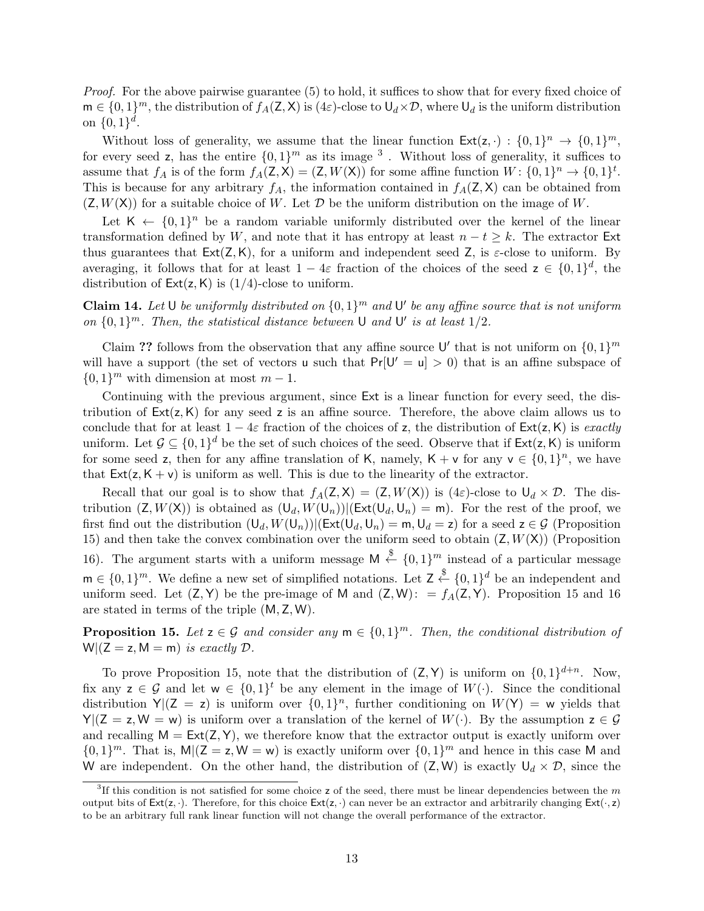Proof. For the above pairwise guarantee [\(5\)](#page-11-3) to hold, it suffices to show that for every fixed choice of  $\mathsf{m} \in \{0,1\}^m$ , the distribution of  $f_A(\mathsf{Z},\mathsf{X})$  is  $(4\varepsilon)$ -close to  $\mathsf{U}_d \times \mathcal{D}$ , where  $\mathsf{U}_d$  is the uniform distribution on  $\{0,1\}^d$ .

Without loss of generality, we assume that the linear function  $\text{Ext}(\mathsf{z},\cdot) : \{0,1\}^n \to \{0,1\}^m$ , for every seed z, has the entire  $\{0,1\}^m$  as its image <sup>[3](#page-12-0)</sup>. Without loss of generality, it suffices to assume that  $f_A$  is of the form  $f_A(Z, X) = (Z, W(X))$  for some affine function  $W: \{0, 1\}^n \to \{0, 1\}^t$ . This is because for any arbitrary  $f_A$ , the information contained in  $f_A(Z, X)$  can be obtained from  $(Z, W(X))$  for a suitable choice of W. Let  $\mathcal D$  be the uniform distribution on the image of W.

Let  $K \leftarrow \{0,1\}^n$  be a random variable uniformly distributed over the kernel of the linear transformation defined by W, and note that it has entropy at least  $n - t \geq k$ . The extractor Ext thus guarantees that  $Ext(Z, K)$ , for a uniform and independent seed Z, is  $\varepsilon$ -close to uniform. By averaging, it follows that for at least  $1-4\varepsilon$  fraction of the choices of the seed  $z \in \{0,1\}^d$ , the distribution of  $Ext(z, K)$  is  $(1/4)$ -close to uniform.

**Claim 14.** Let U be uniformly distributed on  $\{0,1\}^m$  and U' be any affine source that is not uniform on  $\{0,1\}^m$ . Then, the statistical distance between U and U' is at least  $1/2$ .

Claim ?? follows from the observation that any affine source U' that is not uniform on  $\{0,1\}^m$ will have a support (the set of vectors u such that  $Pr[U' = u] > 0$ ) that is an affine subspace of  $\{0,1\}^m$  with dimension at most  $m-1$ .

Continuing with the previous argument, since Ext is a linear function for every seed, the distribution of  $Ext(z, K)$  for any seed z is an affine source. Therefore, the above claim allows us to conclude that for at least  $1 - 4\varepsilon$  fraction of the choices of z, the distribution of  $Ext(z, K)$  is *exactly* uniform. Let  $\mathcal{G} \subseteq \{0,1\}^d$  be the set of such choices of the seed. Observe that if  $\mathsf{Ext}(\mathsf{z},\mathsf{K})$  is uniform for some seed z, then for any affine translation of K, namely,  $K + v$  for any  $v \in \{0,1\}^n$ , we have that  $Ext(z, K + v)$  is uniform as well. This is due to the linearity of the extractor.

Recall that our goal is to show that  $f_A(Z, X) = (Z, W(X))$  is  $(4\varepsilon)$ -close to  $U_d \times \mathcal{D}$ . The distribution  $(Z, W(X))$  is obtained as  $(U_d, W(U_n)) | (Ext(U_d, U_n) = m)$ . For the rest of the proof, we first find out the distribution  $(U_d, W(U_n))|$ (Ext $(U_d, U_n) = m, U_d = z$ ) for a seed  $z \in \mathcal{G}$  (Proposition [15\)](#page-12-1) and then take the convex combination over the uniform seed to obtain  $(Z, W(X))$  (Proposition [16\)](#page-13-0). The argument starts with a uniform message  $M \stackrel{\$}{\leftarrow} \{0,1\}^m$  instead of a particular message  $\mathbf{m} \in \{0,1\}^m$ . We define a new set of simplified notations. Let  $\mathsf{Z} \stackrel{\$}{\leftarrow} \{0,1\}^d$  be an independent and uniform seed. Let  $(Z, Y)$  be the pre-image of M and  $(Z, W)$ : =  $f_A(Z, Y)$ . Proposition [15](#page-12-1) and [16](#page-13-0) are stated in terms of the triple (M, Z, W).

<span id="page-12-1"></span>**Proposition 15.** Let  $z \in \mathcal{G}$  and consider any  $m \in \{0,1\}^m$ . Then, the conditional distribution of  $W|(Z = z, M = m)$  is exactly  $D$ .

To prove Proposition [15,](#page-12-1) note that the distribution of  $(Z, Y)$  is uniform on  $\{0, 1\}^{d+n}$ . Now, fix any  $z \in \mathcal{G}$  and let  $w \in \{0,1\}^t$  be any element in the image of  $W(\cdot)$ . Since the conditional distribution  $Y|(Z = z)$  is uniform over  $\{0,1\}^n$ , further conditioning on  $W(Y) = w$  yields that  $Y|(Z = z, W = w)$  is uniform over a translation of the kernel of  $W(\cdot)$ . By the assumption  $z \in \mathcal{G}$ and recalling  $M = Ext(Z, Y)$ , we therefore know that the extractor output is exactly uniform over  $\{0,1\}^m$ . That is, M|(Z = z, W = w) is exactly uniform over  $\{0,1\}^m$  and hence in this case M and W are independent. On the other hand, the distribution of  $(Z, W)$  is exactly  $U_d \times \mathcal{D}$ , since the

<span id="page-12-0"></span> ${}^{3}$ If this condition is not satisfied for some choice z of the seed, there must be linear dependencies between the m output bits of  $Ext(z, \cdot)$ . Therefore, for this choice  $Ext(z, \cdot)$  can never be an extractor and arbitrarily changing  $Ext(\cdot, z)$ to be an arbitrary full rank linear function will not change the overall performance of the extractor.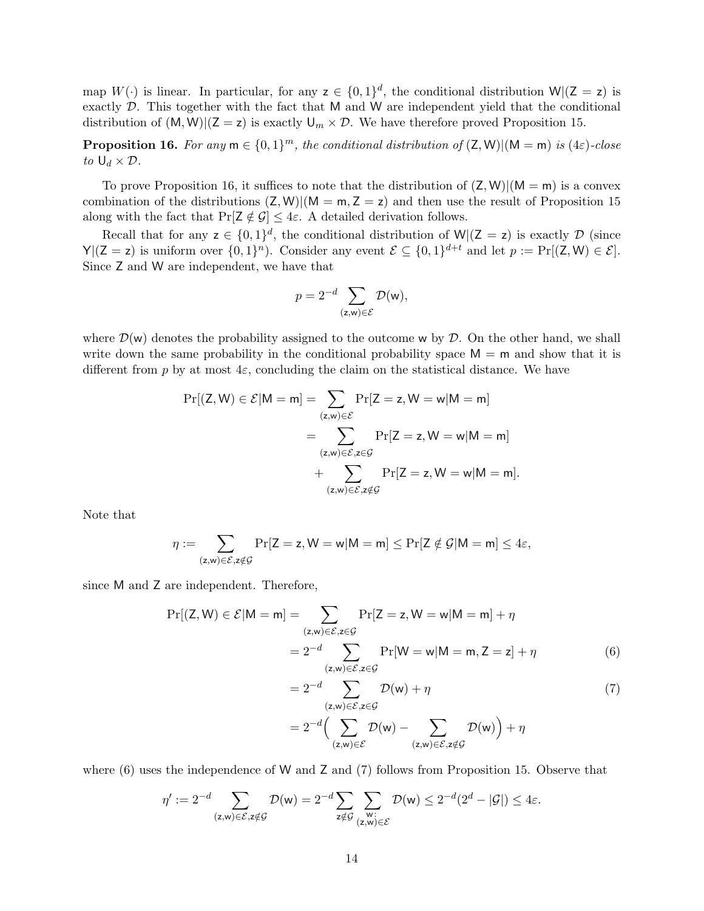map  $W(\cdot)$  is linear. In particular, for any  $z \in \{0,1\}^d$ , the conditional distribution  $W((Z = z)$  is exactly  $D$ . This together with the fact that M and W are independent yield that the conditional distribution of  $(M, W)$  $(Z = z)$  is exactly  $U_m \times \mathcal{D}$ . We have therefore proved Proposition [15.](#page-12-1)

<span id="page-13-0"></span>**Proposition 16.** For any  $m \in \{0,1\}^m$ , the conditional distribution of  $(Z, W)$  $((M = m)$  is  $(4\varepsilon)$ -close to  $U_d \times \mathcal{D}$ .

To prove Proposition [16,](#page-13-0) it suffices to note that the distribution of  $(Z, W)| (M = m)$  is a convex combination of the distributions  $(Z, W)| (M = m, Z = z)$  and then use the result of Proposition [15](#page-12-1) along with the fact that  $Pr[Z \notin \mathcal{G}] \leq 4\varepsilon$ . A detailed derivation follows.

Recall that for any  $z \in \{0,1\}^d$ , the conditional distribution of  $W|(Z = z)$  is exactly D (since  $Y|(Z = z)$  is uniform over  $\{0,1\}^n$ ). Consider any event  $\mathcal{E} \subseteq \{0,1\}^{d+t}$  and let  $p := \Pr[(Z, W) \in \mathcal{E}]$ . Since Z and W are independent, we have that

$$
p = 2^{-d} \sum_{(\mathsf{z}, \mathsf{w}) \in \mathcal{E}} \mathcal{D}(\mathsf{w}),
$$

where  $\mathcal{D}(w)$  denotes the probability assigned to the outcome w by  $\mathcal{D}$ . On the other hand, we shall write down the same probability in the conditional probability space  $M = m$  and show that it is different from p by at most  $4\varepsilon$ , concluding the claim on the statistical distance. We have

$$
\Pr[(Z, W) \in \mathcal{E}|M = m] = \sum_{(z,w) \in \mathcal{E}} \Pr[Z = z, W = w|M = m] \\ = \sum_{(z,w) \in \mathcal{E}, z \in \mathcal{G}} \Pr[Z = z, W = w|M = m] \\ + \sum_{(z,w) \in \mathcal{E}, z \notin \mathcal{G}} \Pr[Z = z, W = w|M = m].
$$

Note that

$$
\eta:=\sum_{(z,w)\in\mathcal{E}, z\notin\mathcal{G}}\Pr[Z=z,W=w|M=m]\leq \Pr[Z\notin\mathcal{G}|M=m]\leq 4\epsilon,
$$

since M and Z are independent. Therefore,

$$
\Pr[(Z, W) \in \mathcal{E}|M = m] = \sum_{\substack{(z,w) \in \mathcal{E}, z \in \mathcal{G} \\ z \equiv 2^{-d} \sum_{\substack{(z,w) \in \mathcal{E}, z \in \mathcal{G}}} \Pr[W = w|M = m, Z = z] + \eta} \Pr[W = w | M = m, Z = z] + \eta
$$
\n(6)

<span id="page-13-2"></span><span id="page-13-1"></span>
$$
=2^{-d} \sum_{(z,w)\in \mathcal{E}, z\in \mathcal{G}} \mathcal{D}(w) + \eta
$$
  
=2^{-d} \Big( \sum\_{(z,w)\in \mathcal{E}} \mathcal{D}(w) - \sum\_{(z,w)\in \mathcal{E}, z\notin \mathcal{G}} \mathcal{D}(w) \Big) + \eta (7)

where [\(6\)](#page-13-1) uses the independence of W and Z and [\(7\)](#page-13-2) follows from Proposition [15.](#page-12-1) Observe that

$$
\eta':=2^{-d}\sum_{(\mathsf{z},\mathsf{w})\in\mathcal{E},\mathsf{z}\notin\mathcal{G}}\mathcal{D}(\mathsf{w})=2^{-d}\sum_{\mathsf{z}\notin\mathcal{G}}\sum_{\substack{\mathsf{w}:\\(\mathsf{z},\mathsf{w})\in\mathcal{E}}}\mathcal{D}(\mathsf{w})\leq2^{-d}(2^d-|\mathcal{G}|)\leq4\varepsilon.
$$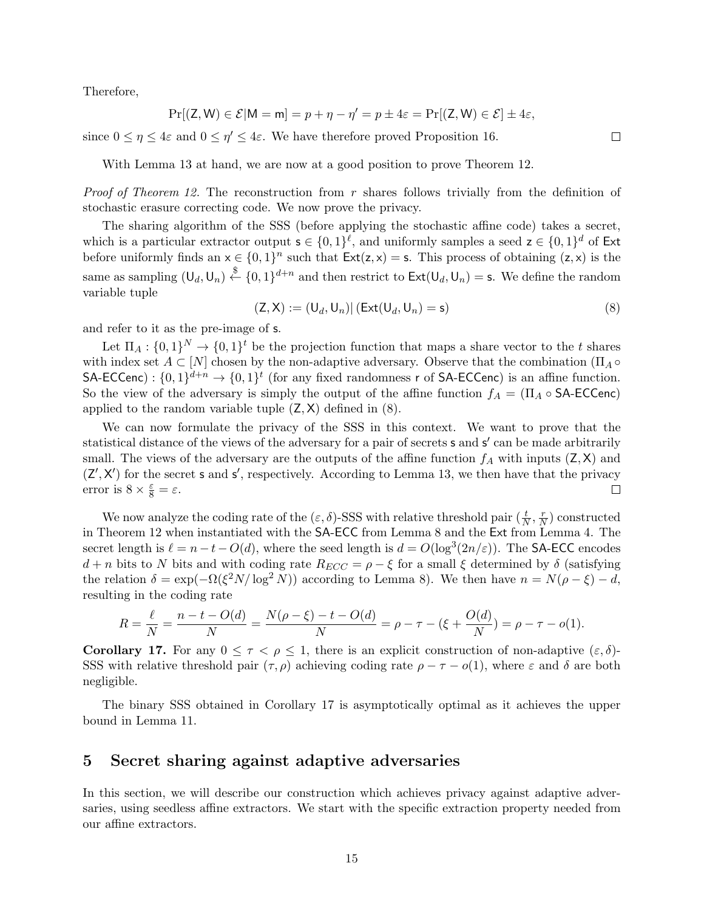Therefore,

$$
\Pr[(\textsf{Z},\textsf{W})\in\mathcal{E}|\textsf{M}=\textsf{m}]=p+\eta-\eta'=p\pm 4\varepsilon=\Pr[(\textsf{Z},\textsf{W})\in\mathcal{E}]\pm 4\varepsilon,
$$

since  $0 \leq \eta \leq 4\varepsilon$  and  $0 \leq \eta' \leq 4\varepsilon$ . We have therefore proved Proposition [16.](#page-13-0)

With Lemma [13](#page-11-2) at hand, we are now at a good position to prove Theorem [12.](#page-11-1)

*Proof of Theorem [12.](#page-11-1)* The reconstruction from r shares follows trivially from the definition of stochastic erasure correcting code. We now prove the privacy.

The sharing algorithm of the SSS (before applying the stochastic affine code) takes a secret, which is a particular extractor output  $\mathbf{s} \in \{0,1\}^{\ell}$ , and uniformly samples a seed  $\mathbf{z} \in \{0,1\}^d$  of Ext before uniformly finds an  $x \in \{0,1\}^n$  such that  $Ext(z, x) = s$ . This process of obtaining  $(z, x)$  is the same as sampling  $(U_d, U_n) \stackrel{\$}{\leftarrow} \{0, 1\}^{d+n}$  and then restrict to  $\textsf{Ext}(U_d, U_n) = \textsf{s}$ . We define the random variable tuple

<span id="page-14-2"></span>
$$
(\mathsf{Z}, \mathsf{X}) := (\mathsf{U}_d, \mathsf{U}_n) | (\mathsf{Ext}(\mathsf{U}_d, \mathsf{U}_n) = \mathsf{s}) \tag{8}
$$

and refer to it as the pre-image of s.

Let  $\Pi_A: \{0,1\}^N \to \{0,1\}^t$  be the projection function that maps a share vector to the t shares with index set  $A \subset [N]$  chosen by the non-adaptive adversary. Observe that the combination ( $\Pi_A \circ$ SA-ECCenc) :  $\{0,1\}^{d+n} \to \{0,1\}^t$  (for any fixed randomness r of SA-ECCenc) is an affine function. So the view of the adversary is simply the output of the affine function  $f_A = (\Pi_A \circ SA\text{-ECCenc})$ applied to the random variable tuple  $(Z, X)$  defined in  $(8)$ .

We can now formulate the privacy of the SSS in this context. We want to prove that the statistical distance of the views of the adversary for a pair of secrets **s** and **s'** can be made arbitrarily small. The views of the adversary are the outputs of the affine function  $f_A$  with inputs  $(Z, X)$  and  $(Z', X')$  for the secret s and s', respectively. According to Lemma [13,](#page-11-2) we then have that the privacy error is  $8 \times \frac{\varepsilon}{8} = \varepsilon$ .  $\Box$ 

We now analyze the coding rate of the  $(\varepsilon, \delta)$ -SSS with relative threshold pair  $(\frac{t}{N}, \frac{r}{N})$  $\frac{r}{N}$ ) constructed in Theorem [12](#page-11-1) when instantiated with the SA-ECC from Lemma [8](#page-8-1) and the Ext from Lemma [4.](#page-7-1) The secret length is  $\ell = n - t - O(d)$ , where the seed length is  $d = O(\log^3(2n/\varepsilon))$ . The SA-ECC encodes  $d + n$  bits to N bits and with coding rate  $R_{ECC} = \rho - \xi$  for a small  $\xi$  determined by  $\delta$  (satisfying the relation  $\delta = \exp(-\Omega(\xi^2 N/\log^2 N))$  according to Lemma [8\)](#page-8-1). We then have  $n = N(\rho - \xi) - d$ , resulting in the coding rate

$$
R = \frac{\ell}{N} = \frac{n - t - O(d)}{N} = \frac{N(\rho - \xi) - t - O(d)}{N} = \rho - \tau - (\xi + \frac{O(d)}{N}) = \rho - \tau - o(1).
$$

<span id="page-14-0"></span>**Corollary 17.** For any  $0 \leq \tau \leq \rho \leq 1$ , there is an explicit construction of non-adaptive  $(\varepsilon, \delta)$ -SSS with relative threshold pair  $(\tau, \rho)$  achieving coding rate  $\rho - \tau - o(1)$ , where  $\varepsilon$  and  $\delta$  are both negligible.

The binary SSS obtained in Corollary [17](#page-14-0) is asymptotically optimal as it achieves the upper bound in Lemma [11.](#page-10-0)

#### <span id="page-14-1"></span>5 Secret sharing against adaptive adversaries

In this section, we will describe our construction which achieves privacy against adaptive adversaries, using seedless affine extractors. We start with the specific extraction property needed from our affine extractors.

 $\Box$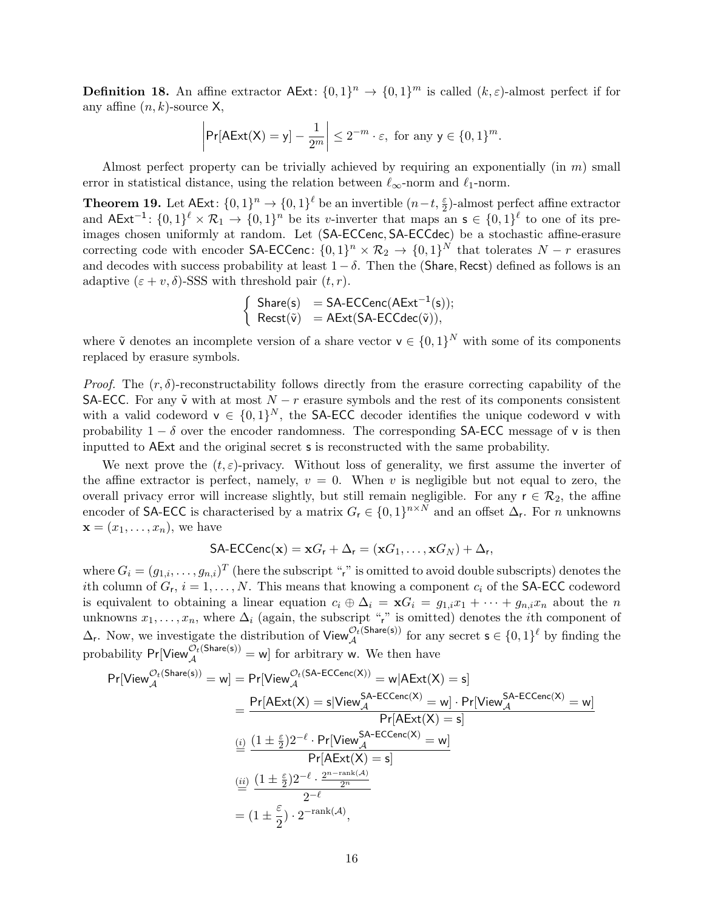**Definition 18.** An affine extractor  $\text{AExt}: \{0,1\}^n \to \{0,1\}^m$  is called  $(k,\varepsilon)$ -almost perfect if for any affine  $(n, k)$ -source X,

$$
\left|\Pr[\mathsf{AExt}(\mathsf{X})=y]-\frac{1}{2^m}\right|\leq 2^{-m}\cdot\varepsilon,\text{ for any }y\in\{0,1\}^m.
$$

Almost perfect property can be trivially achieved by requiring an exponentially (in  $m$ ) small error in statistical distance, using the relation between  $\ell_{\infty}$ -norm and  $\ell_1$ -norm.

<span id="page-15-0"></span>**Theorem 19.** Let  $\text{AExt}: \{0,1\}^n \to \{0,1\}^{\ell}$  be an invertible  $(n-t, \frac{\varepsilon}{2})$ -almost perfect affine extractor and  $AExt^{-1}$ :  $\{0,1\}^{\ell} \times \mathcal{R}_1 \to \{0,1\}^n$  be its v-inverter that maps an s ∈  $\{0,1\}^{\ell}$  to one of its preimages chosen uniformly at random. Let (SA-ECCenc, SA-ECCdec) be a stochastic affine-erasure correcting code with encoder SA-ECCenc:  $\{0,1\}^n \times \mathcal{R}_2 \to \{0,1\}^N$  that tolerates  $N-r$  erasures and decodes with success probability at least  $1 - \delta$ . Then the (Share, Recst) defined as follows is an adaptive  $(\varepsilon + v, \delta)$ -SSS with threshold pair  $(t, r)$ .

$$
\left\{\begin{array}{ll}\text{Share}(s)&=SA\text{-ECCenc}(AExt^{-1}(s));\\ \text{Recst}(\tilde{v})&=AExt(SA\text{-ECCdec}(\tilde{v})),\end{array}\right.
$$

where  $\tilde{\mathbf{v}}$  denotes an incomplete version of a share vector  $\mathbf{v} \in \{0,1\}^N$  with some of its components replaced by erasure symbols.

*Proof.* The  $(r, \delta)$ -reconstructability follows directly from the erasure correcting capability of the SA-ECC. For any  $\tilde{v}$  with at most  $N - r$  erasure symbols and the rest of its components consistent with a valid codeword  $v \in \{0,1\}^N$ , the SA-ECC decoder identifies the unique codeword v with probability  $1 - \delta$  over the encoder randomness. The corresponding SA-ECC message of v is then inputted to AExt and the original secret s is reconstructed with the same probability.

We next prove the  $(t, \varepsilon)$ -privacy. Without loss of generality, we first assume the inverter of the affine extractor is perfect, namely,  $v = 0$ . When v is negligible but not equal to zero, the overall privacy error will increase slightly, but still remain negligible. For any  $r \in \mathcal{R}_2$ , the affine encoder of SA-ECC is characterised by a matrix  $G_r \in \{0,1\}^{n \times N}$  and an offset  $\Delta_r$ . For n unknowns  $\mathbf{x} = (x_1, \ldots, x_n)$ , we have

$$
\mathsf{SA\text{-}ECCenc}(\mathbf{x}) = \mathbf{x}G_{r} + \Delta_{r} = (\mathbf{x}G_{1}, \ldots, \mathbf{x}G_{N}) + \Delta_{r},
$$

where  $G_i = (g_{1,i}, \ldots, g_{n,i})^T$  (here the subscript "r" is omitted to avoid double subscripts) denotes the *i*th column of  $G_r$ ,  $i = 1, ..., N$ . This means that knowing a component  $c_i$  of the **SA-ECC** codeword is equivalent to obtaining a linear equation  $c_i \oplus \Delta_i = \mathbf{x}G_i = g_{1,i}x_1 + \cdots + g_{n,i}x_n$  about the n unknowns  $x_1, \ldots, x_n$ , where  $\Delta_i$  (again, the subscript "r" is omitted) denotes the *i*th component of  $\Delta_r$ . Now, we investigate the distribution of View  $\mathcal{O}_t^{(\text{Share}(s))}$  for any secret  $s \in \{0,1\}^{\ell}$  by finding the probability  $Pr[\text{View}_{\mathcal{A}}^{\mathcal{O}_t(\text{Share}(s))} = w]$  for arbitrary w. We then have

$$
\begin{aligned} \Pr[\mathsf{View}_{\mathcal{A}}^{\mathcal{O}_t(\mathsf{Share}(s))} = w] & = \Pr[\mathsf{View}_{\mathcal{A}}^{\mathcal{O}_t(\mathsf{SA\text{-}ECCenc}(\mathsf{X}))} = w | \mathsf{AExt}(\mathsf{X}) = s] \\ & = \frac{\Pr[\mathsf{AExt}(\mathsf{X}) = s | \mathsf{View}_{\mathcal{A}}^{\mathsf{SA\text{-}ECCenc}(\mathsf{X})} = w] \cdot \Pr[\mathsf{View}_{\mathcal{A}}^{\mathsf{SA\text{-}ECCenc}(\mathsf{X})} = w]}{\Pr[\mathsf{AExt}(\mathsf{X}) = s]} \\ & \overset{(i)}{=} \frac{(1 \pm \frac{\varepsilon}{2})2^{-\ell} \cdot \Pr[\mathsf{View}_{\mathcal{A}}^{\mathsf{SA\text{-}ECCenc}(\mathsf{X})} = w]}{\Pr[\mathsf{AExt}(\mathsf{X}) = s]} \\ & \overset{(ii)}{=} \frac{(1 \pm \frac{\varepsilon}{2})2^{-\ell} \cdot \frac{2^{n - \operatorname{rank}(\mathcal{A})}}{2^n}}{2^{-\ell}} \\ & = (1 \pm \frac{\varepsilon}{2}) \cdot 2^{-\operatorname{rank}(\mathcal{A})}, \end{aligned}
$$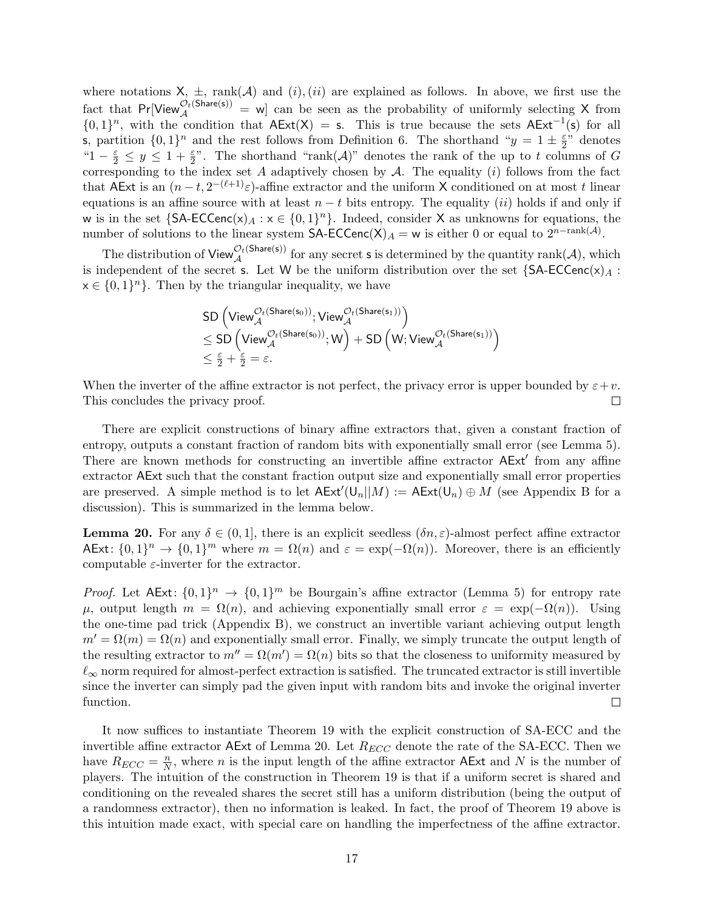where notations  $X$ ,  $\pm$ , rank( $A$ ) and (i),(ii) are explained as follows. In above, we first use the fact that  $Pr[View_{\mathcal{A}}^{\mathcal{O}_t(Share(s))}]=$  w] can be seen as the probability of uniformly selecting X from  ${0,1}^n$ , with the condition that  $AExt(X) = s$ . This is true because the sets  $AExt^{-1}(s)$  for all s, partition  $\{0,1\}^n$  and the rest follows from Definition [6.](#page-8-2) The shorthand " $y = 1 \pm \frac{\varepsilon}{2}$ "  $\frac{\varepsilon}{2}$ " denotes " $1-\frac{\varepsilon}{2} \leq y \leq 1+\frac{\varepsilon}{2}$ ". The shorthand "rank $(\mathcal{A})$ " denotes the rank of the up to t columns of G corresponding to the index set A adaptively chosen by  $A$ . The equality (i) follows from the fact that AExt is an  $(n-t, 2^{-(\ell+1)}\varepsilon)$ -affine extractor and the uniform X conditioned on at most t linear equations is an affine source with at least  $n - t$  bits entropy. The equality (ii) holds if and only if w is in the set  $\{\textsf{SA-ECCenc}(x)_A : x \in \{0,1\}^n\}$ . Indeed, consider X as unknowns for equations, the number of solutions to the linear system  $SA\text{-ECCenc}(X)_A = w$  is either 0 or equal to  $2^{n-\text{rank}(A)}$ .

The distribution of  $\mathsf{View}_{\mathcal{A}}^{\mathcal{O}_t(\mathsf{Share}(s))}$  for any secret s is determined by the quantity rank $(\mathcal{A})$ , which is independent of the secret s. Let W be the uniform distribution over the set  ${SA\text{-}ECCenc(x)_A :}$  $x \in \{0,1\}^n$ . Then by the triangular inequality, we have

$$
\begin{aligned} & \text{SD} \left( \text{View}_{\mathcal{A}}^{\mathcal{O}_t(\text{Share}(s_0))}; \text{View}_{\mathcal{A}}^{\mathcal{O}_t(\text{Share}(s_1))} \right) \\ & \leq \text{SD} \left( \text{View}_{\mathcal{A}}^{\mathcal{O}_t(\text{Share}(s_0))}; \mathsf{W} \right) + \text{SD} \left( \mathsf{W}; \text{View}_{\mathcal{A}}^{\mathcal{O}_t(\text{Share}(s_1))} \right) \\ & \leq \frac{\varepsilon}{2} + \frac{\varepsilon}{2} = \varepsilon. \end{aligned}
$$

When the inverter of the affine extractor is not perfect, the privacy error is upper bounded by  $\varepsilon + v$ . This concludes the privacy proof.  $\Box$ 

There are explicit constructions of binary affine extractors that, given a constant fraction of entropy, outputs a constant fraction of random bits with exponentially small error (see Lemma [5\)](#page-7-2). There are known methods for constructing an invertible affine extractor AExt' from any affine extractor AExt such that the constant fraction output size and exponentially small error properties are preserved. A simple method is to let  $\mathsf{AExt}'(\mathsf{U}_n||M) := \mathsf{AExt}(\mathsf{U}_n) \oplus M$  (see Appendix [B](#page-20-0) for a discussion). This is summarized in the lemma below.

<span id="page-16-0"></span>**Lemma 20.** For any  $\delta \in (0,1]$ , there is an explicit seedless  $(\delta n, \varepsilon)$ -almost perfect affine extractor AExt:  $\{0,1\}^n \to \{0,1\}^m$  where  $m = \Omega(n)$  and  $\varepsilon = \exp(-\Omega(n))$ . Moreover, there is an efficiently computable  $\varepsilon$ -inverter for the extractor.

*Proof.* Let  $AExt: \{0,1\}^n \to \{0,1\}^m$  be Bourgain's affine extractor (Lemma [5\)](#page-7-2) for entropy rate  $\mu$ , output length  $m = \Omega(n)$ , and achieving exponentially small error  $\varepsilon = \exp(-\Omega(n))$ . Using the one-time pad trick (Appendix [B\)](#page-20-0), we construct an invertible variant achieving output length  $m' = \Omega(m) = \Omega(n)$  and exponentially small error. Finally, we simply truncate the output length of the resulting extractor to  $m'' = \Omega(m') = \Omega(n)$  bits so that the closeness to uniformity measured by  $\ell_{\infty}$  norm required for almost-perfect extraction is satisfied. The truncated extractor is still invertible since the inverter can simply pad the given input with random bits and invoke the original inverter function.  $\Box$ 

It now suffices to instantiate Theorem [19](#page-15-0) with the explicit construction of SA-ECC and the invertible affine extractor AExt of Lemma [20.](#page-16-0) Let  $R_{ECC}$  denote the rate of the SA-ECC. Then we have  $R_{ECC} = \frac{n}{N}$  $\frac{n}{N}$ , where *n* is the input length of the affine extractor AExt and N is the number of players. The intuition of the construction in Theorem [19](#page-15-0) is that if a uniform secret is shared and conditioning on the revealed shares the secret still has a uniform distribution (being the output of a randomness extractor), then no information is leaked. In fact, the proof of Theorem [19](#page-15-0) above is this intuition made exact, with special care on handling the imperfectness of the affine extractor.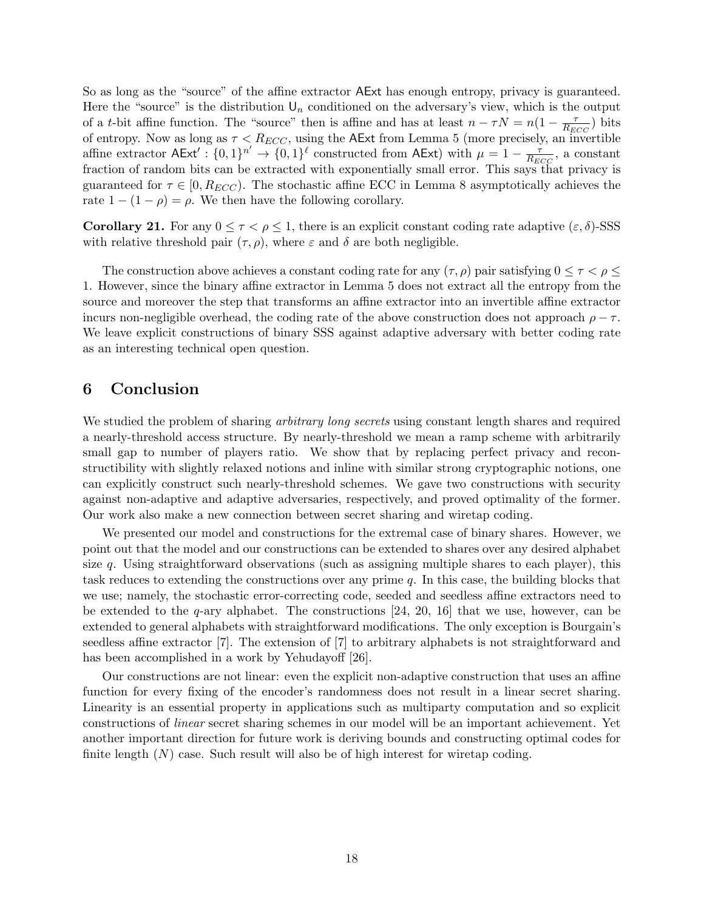So as long as the "source" of the affine extractor AExt has enough entropy, privacy is guaranteed. Here the "source" is the distribution  $\mathsf{U}_n$  conditioned on the adversary's view, which is the output of a t-bit affine function. The "source" then is affine and has at least  $n - \tau N = n(1 - \frac{\tau}{R_n})$  $\frac{\tau}{R_{ECC}}$ ) bits of entropy. Now as long as  $\tau < R_{ECC}$ , using the AExt from Lemma [5](#page-7-2) (more precisely, an invertible affine extractor  $\mathsf{AExt}' : \{0,1\}^n \to \{0,1\}^{\ell}$  constructed from  $\mathsf{AExt}$ ) with  $\mu = 1 - \frac{7}{R_E}$  $\frac{\tau}{R_{ECC}}$ , a constant fraction of random bits can be extracted with exponentially small error. This says that privacy is guaranteed for  $\tau \in [0, R_{ECC})$ . The stochastic affine ECC in Lemma [8](#page-8-1) asymptotically achieves the rate  $1 - (1 - \rho) = \rho$ . We then have the following corollary.

<span id="page-17-1"></span>Corollary 21. For any  $0 \leq \tau \leq \rho \leq 1$ , there is an explicit constant coding rate adaptive  $(\varepsilon, \delta)$ -SSS with relative threshold pair  $(\tau, \rho)$ , where  $\varepsilon$  and  $\delta$  are both negligible.

The construction above achieves a constant coding rate for any  $(\tau, \rho)$  pair satisfying  $0 \leq \tau < \rho \leq$ 1. However, since the binary affine extractor in Lemma [5](#page-7-2) does not extract all the entropy from the source and moreover the step that transforms an affine extractor into an invertible affine extractor incurs non-negligible overhead, the coding rate of the above construction does not approach  $\rho - \tau$ . We leave explicit constructions of binary SSS against adaptive adversary with better coding rate as an interesting technical open question.

#### <span id="page-17-0"></span>6 Conclusion

We studied the problem of sharing *arbitrary long secrets* using constant length shares and required a nearly-threshold access structure. By nearly-threshold we mean a ramp scheme with arbitrarily small gap to number of players ratio. We show that by replacing perfect privacy and reconstructibility with slightly relaxed notions and inline with similar strong cryptographic notions, one can explicitly construct such nearly-threshold schemes. We gave two constructions with security against non-adaptive and adaptive adversaries, respectively, and proved optimality of the former. Our work also make a new connection between secret sharing and wiretap coding.

We presented our model and constructions for the extremal case of binary shares. However, we point out that the model and our constructions can be extended to shares over any desired alphabet size q. Using straightforward observations (such as assigning multiple shares to each player), this task reduces to extending the constructions over any prime q. In this case, the building blocks that we use; namely, the stochastic error-correcting code, seeded and seedless affine extractors need to be extended to the  $q$ -ary alphabet. The constructions [\[24,](#page-19-5) [20,](#page-19-6) [16\]](#page-19-8) that we use, however, can be extended to general alphabets with straightforward modifications. The only exception is Bourgain's seedless affine extractor [\[7\]](#page-18-12). The extension of [\[7\]](#page-18-12) to arbitrary alphabets is not straightforward and has been accomplished in a work by Yehudayoff [\[26\]](#page-19-10).

Our constructions are not linear: even the explicit non-adaptive construction that uses an affine function for every fixing of the encoder's randomness does not result in a linear secret sharing. Linearity is an essential property in applications such as multiparty computation and so explicit constructions of linear secret sharing schemes in our model will be an important achievement. Yet another important direction for future work is deriving bounds and constructing optimal codes for finite length  $(N)$  case. Such result will also be of high interest for wiretap coding.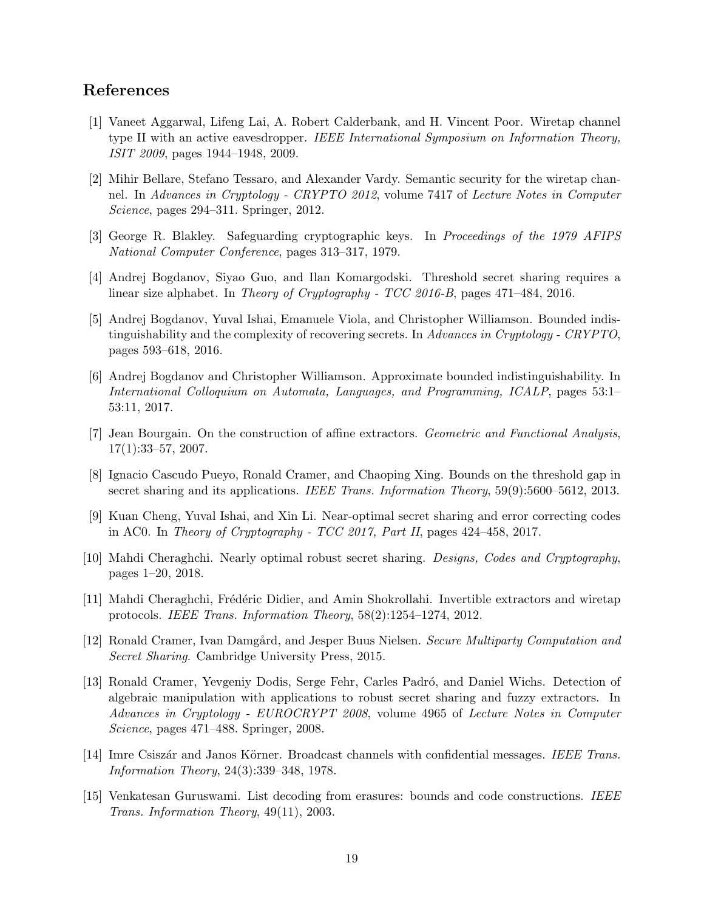### References

- <span id="page-18-10"></span>[1] Vaneet Aggarwal, Lifeng Lai, A. Robert Calderbank, and H. Vincent Poor. Wiretap channel type II with an active eavesdropper. IEEE International Symposium on Information Theory, ISIT 2009, pages 1944–1948, 2009.
- <span id="page-18-8"></span>[2] Mihir Bellare, Stefano Tessaro, and Alexander Vardy. Semantic security for the wiretap channel. In Advances in Cryptology - CRYPTO 2012, volume 7417 of Lecture Notes in Computer Science, pages 294–311. Springer, 2012.
- <span id="page-18-0"></span>[3] George R. Blakley. Safeguarding cryptographic keys. In Proceedings of the 1979 AFIPS National Computer Conference, pages 313–317, 1979.
- <span id="page-18-3"></span>[4] Andrej Bogdanov, Siyao Guo, and Ilan Komargodski. Threshold secret sharing requires a linear size alphabet. In Theory of Cryptography - TCC 2016-B, pages 471–484, 2016.
- <span id="page-18-4"></span>[5] Andrej Bogdanov, Yuval Ishai, Emanuele Viola, and Christopher Williamson. Bounded indistinguishability and the complexity of recovering secrets. In Advances in Cryptology - CRYPTO, pages 593–618, 2016.
- <span id="page-18-5"></span>[6] Andrej Bogdanov and Christopher Williamson. Approximate bounded indistinguishability. In International Colloquium on Automata, Languages, and Programming, ICALP, pages 53:1– 53:11, 2017.
- <span id="page-18-12"></span>[7] Jean Bourgain. On the construction of affine extractors. Geometric and Functional Analysis, 17(1):33–57, 2007.
- <span id="page-18-2"></span>[8] Ignacio Cascudo Pueyo, Ronald Cramer, and Chaoping Xing. Bounds on the threshold gap in secret sharing and its applications. IEEE Trans. Information Theory, 59(9):5600–5612, 2013.
- <span id="page-18-6"></span>[9] Kuan Cheng, Yuval Ishai, and Xin Li. Near-optimal secret sharing and error correcting codes in AC0. In Theory of Cryptography - TCC 2017, Part II, pages 424–458, 2017.
- <span id="page-18-9"></span>[10] Mahdi Cheraghchi. Nearly optimal robust secret sharing. Designs, Codes and Cryptography, pages 1–20, 2018.
- <span id="page-18-11"></span>[11] Mahdi Cheraghchi, Frédéric Didier, and Amin Shokrollahi. Invertible extractors and wiretap protocols. IEEE Trans. Information Theory, 58(2):1254–1274, 2012.
- <span id="page-18-1"></span>[12] Ronald Cramer, Ivan Damgård, and Jesper Buus Nielsen. Secure Multiparty Computation and Secret Sharing. Cambridge University Press, 2015.
- <span id="page-18-13"></span>[13] Ronald Cramer, Yevgeniy Dodis, Serge Fehr, Carles Padró, and Daniel Wichs. Detection of algebraic manipulation with applications to robust secret sharing and fuzzy extractors. In Advances in Cryptology - EUROCRYPT 2008, volume 4965 of Lecture Notes in Computer Science, pages 471–488. Springer, 2008.
- <span id="page-18-7"></span>[14] Imre Csiszár and Janos Körner. Broadcast channels with confidential messages. IEEE Trans. Information Theory, 24(3):339–348, 1978.
- <span id="page-18-14"></span>[15] Venkatesan Guruswami. List decoding from erasures: bounds and code constructions. IEEE Trans. Information Theory, 49(11), 2003.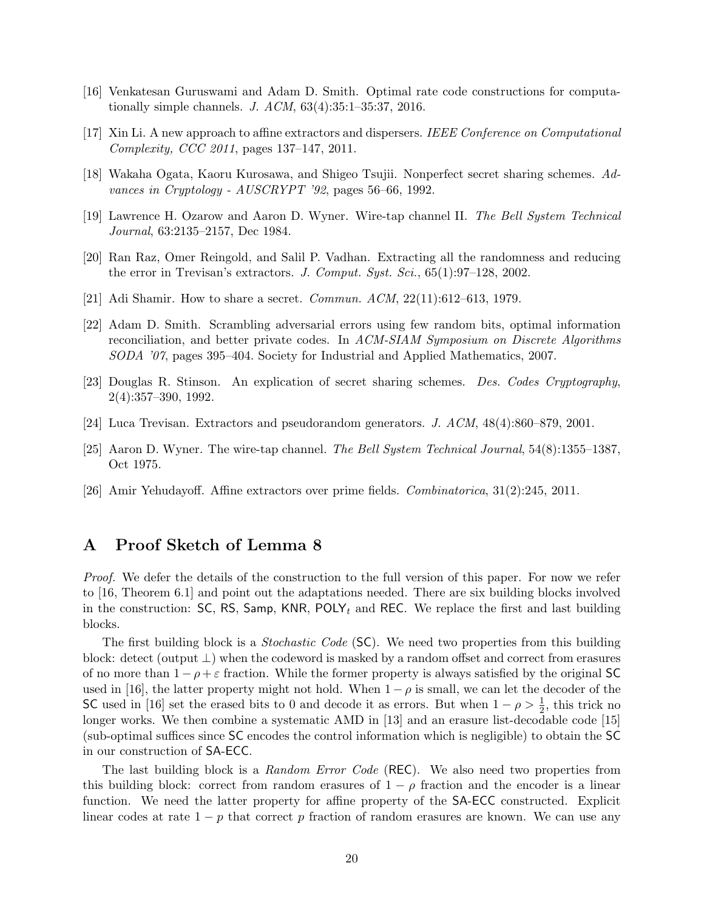- <span id="page-19-8"></span>[16] Venkatesan Guruswami and Adam D. Smith. Optimal rate code constructions for computationally simple channels. J. ACM, 63(4):35:1–35:37, 2016.
- <span id="page-19-7"></span>[17] Xin Li. A new approach to affine extractors and dispersers. IEEE Conference on Computational Complexity, CCC 2011, pages 137–147, 2011.
- <span id="page-19-2"></span>[18] Wakaha Ogata, Kaoru Kurosawa, and Shigeo Tsujii. Nonperfect secret sharing schemes. Advances in Cryptology - AUSCRYPT '92, pages 56–66, 1992.
- <span id="page-19-4"></span>[19] Lawrence H. Ozarow and Aaron D. Wyner. Wire-tap channel II. The Bell System Technical Journal, 63:2135–2157, Dec 1984.
- <span id="page-19-6"></span>[20] Ran Raz, Omer Reingold, and Salil P. Vadhan. Extracting all the randomness and reducing the error in Trevisan's extractors. J. Comput. Syst. Sci.,  $65(1):97-128$ , 2002.
- <span id="page-19-0"></span>[21] Adi Shamir. How to share a secret. Commun. ACM, 22(11):612–613, 1979.
- <span id="page-19-11"></span>[22] Adam D. Smith. Scrambling adversarial errors using few random bits, optimal information reconciliation, and better private codes. In ACM-SIAM Symposium on Discrete Algorithms SODA '07, pages 395–404. Society for Industrial and Applied Mathematics, 2007.
- <span id="page-19-1"></span>[23] Douglas R. Stinson. An explication of secret sharing schemes. Des. Codes Cryptography, 2(4):357–390, 1992.
- <span id="page-19-5"></span>[24] Luca Trevisan. Extractors and pseudorandom generators. J. ACM, 48(4):860–879, 2001.
- <span id="page-19-3"></span>[25] Aaron D. Wyner. The wire-tap channel. The Bell System Technical Journal, 54(8):1355–1387, Oct 1975.
- <span id="page-19-10"></span>[26] Amir Yehudayoff. Affine extractors over prime fields. Combinatorica, 31(2):245, 2011.

### <span id="page-19-9"></span>A Proof Sketch of Lemma [8](#page-8-1)

Proof. We defer the details of the construction to the full version of this paper. For now we refer to [\[16,](#page-19-8) Theorem 6.1] and point out the adaptations needed. There are six building blocks involved in the construction: SC, RS, Samp, KNR, POLY<sub>t</sub> and REC. We replace the first and last building blocks.

The first building block is a *Stochastic Code* (SC). We need two properties from this building block: detect (output ⊥) when the codeword is masked by a random offset and correct from erasures of no more than  $1 - \rho + \varepsilon$  fraction. While the former property is always satisfied by the original SC used in [\[16\]](#page-19-8), the latter property might not hold. When  $1 - \rho$  is small, we can let the decoder of the SC used in [\[16\]](#page-19-8) set the erased bits to 0 and decode it as errors. But when  $1 - \rho > \frac{1}{2}$ , this trick no longer works. We then combine a systematic AMD in [\[13\]](#page-18-13) and an erasure list-decodable code [\[15\]](#page-18-14) (sub-optimal suffices since SC encodes the control information which is negligible) to obtain the SC in our construction of SA-ECC.

The last building block is a *Random Error Code* (REC). We also need two properties from this building block: correct from random erasures of  $1 - \rho$  fraction and the encoder is a linear function. We need the latter property for affine property of the SA-ECC constructed. Explicit linear codes at rate  $1 - p$  that correct p fraction of random erasures are known. We can use any